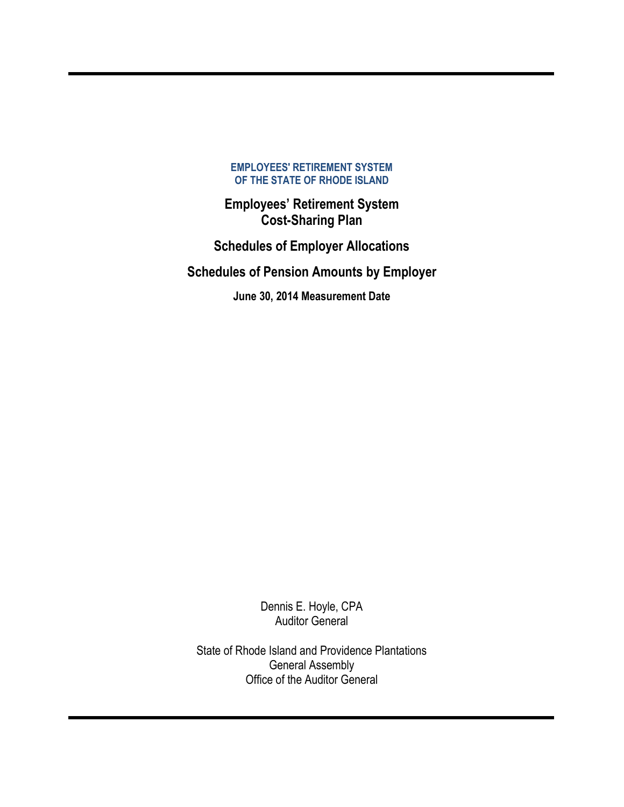**Employees' Retirement System Cost-Sharing Plan**

**Schedules of Employer Allocations**

**Schedules of Pension Amounts by Employer**

**June 30, 2014 Measurement Date** 

Dennis E. Hoyle, CPA Auditor General

State of Rhode Island and Providence Plantations General Assembly Office of the Auditor General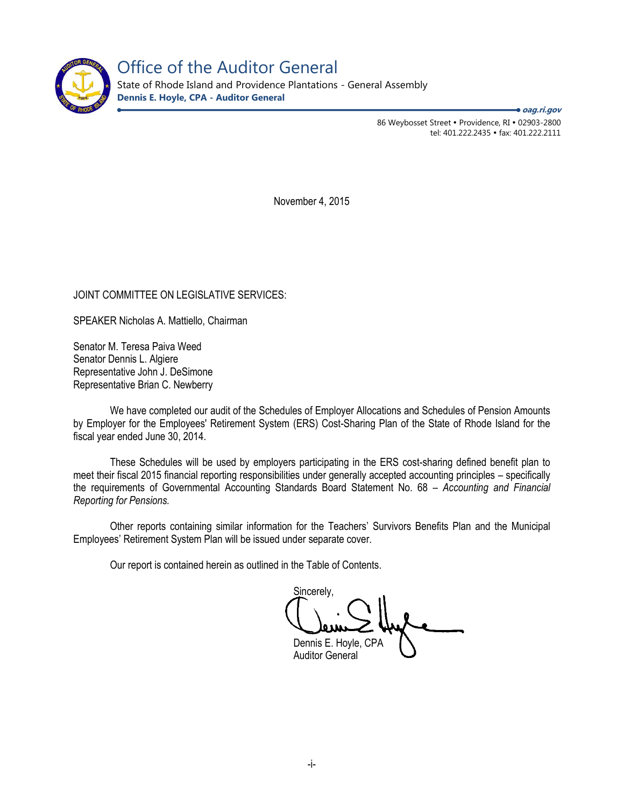

Office of the Auditor General

State of Rhode Island and Providence Plantations - General Assembly **Dennis E. Hoyle, CPA - Auditor General**

**oag.ri.gov**

86 Weybosset Street • Providence, RI • 02903-2800 tel: 401.222.2435 · fax: 401.222.2111

November 4, 2015

JOINT COMMITTEE ON LEGISLATIVE SERVICES:

SPEAKER Nicholas A. Mattiello, Chairman

Senator M. Teresa Paiva Weed Senator Dennis L. Algiere Representative John J. DeSimone Representative Brian C. Newberry

We have completed our audit of the Schedules of Employer Allocations and Schedules of Pension Amounts by Employer for the Employees' Retirement System (ERS) Cost-Sharing Plan of the State of Rhode Island for the fiscal year ended June 30, 2014.

These Schedules will be used by employers participating in the ERS cost-sharing defined benefit plan to meet their fiscal 2015 financial reporting responsibilities under generally accepted accounting principles – specifically the requirements of Governmental Accounting Standards Board Statement No. 68 – *Accounting and Financial Reporting for Pensions.* 

Other reports containing similar information for the Teachers' Survivors Benefits Plan and the Municipal Employees' Retirement System Plan will be issued under separate cover.

Our report is contained herein as outlined in the Table of Contents.

Sincerely, Dennis E. Hoyle, CPA Auditor General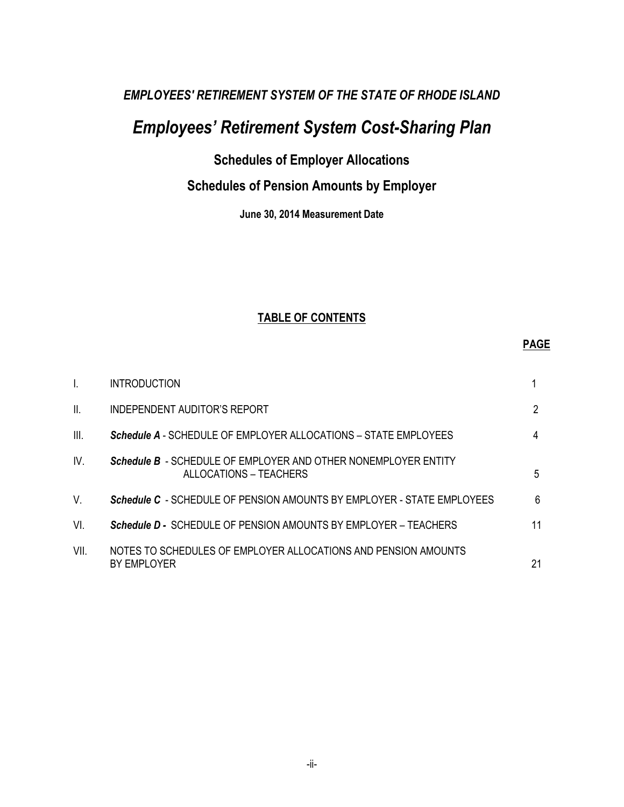# *Employees' Retirement System Cost-Sharing Plan*

## **Schedules of Employer Allocations**

## **Schedules of Pension Amounts by Employer**

**June 30, 2014 Measurement Date**

## **TABLE OF CONTENTS**

## **PAGE**

| I.   | <b>INTRODUCTION</b>                                                                      |    |
|------|------------------------------------------------------------------------------------------|----|
| Ш.   | INDEPENDENT AUDITOR'S REPORT                                                             | 2  |
| III. | <b>Schedule A</b> - SCHEDULE OF EMPLOYER ALLOCATIONS – STATE EMPLOYEES                   | 4  |
| IV.  | Schedule B - SCHEDULE OF EMPLOYER AND OTHER NONEMPLOYER ENTITY<br>ALLOCATIONS - TEACHERS | 5  |
| V.   | <b>Schedule C</b> - SCHEDULE OF PENSION AMOUNTS BY EMPLOYER - STATE EMPLOYEES            | 6  |
| VI.  | Schedule D - SCHEDULE OF PENSION AMOUNTS BY EMPLOYER - TEACHERS                          | 11 |
| VII. | NOTES TO SCHEDULES OF EMPLOYER ALLOCATIONS AND PENSION AMOUNTS<br>BY EMPLOYER            | 21 |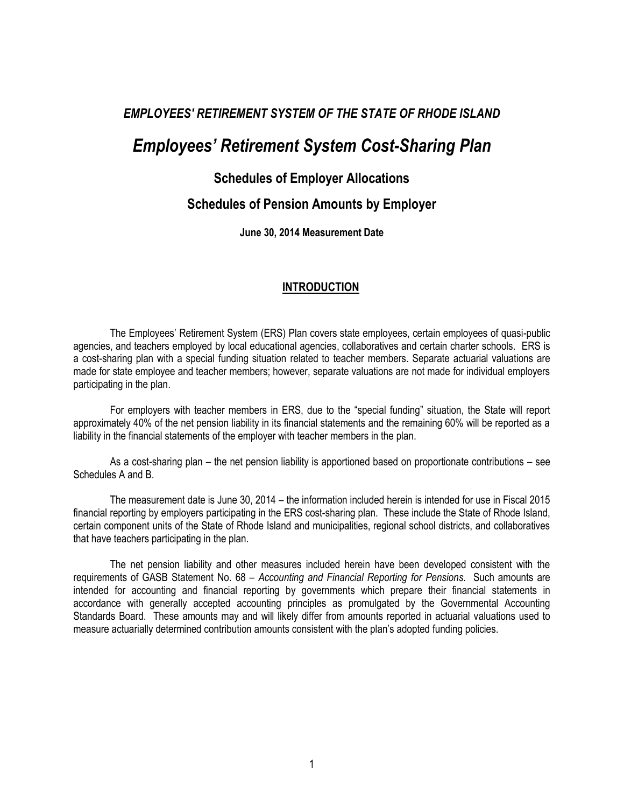## *Employees' Retirement System Cost-Sharing Plan*

## **Schedules of Employer Allocations**

## **Schedules of Pension Amounts by Employer**

**June 30, 2014 Measurement Date** 

#### **INTRODUCTION**

The Employees' Retirement System (ERS) Plan covers state employees, certain employees of quasi-public agencies, and teachers employed by local educational agencies, collaboratives and certain charter schools. ERS is a cost-sharing plan with a special funding situation related to teacher members. Separate actuarial valuations are made for state employee and teacher members; however, separate valuations are not made for individual employers participating in the plan.

For employers with teacher members in ERS, due to the "special funding" situation, the State will report approximately 40% of the net pension liability in its financial statements and the remaining 60% will be reported as a liability in the financial statements of the employer with teacher members in the plan.

As a cost-sharing plan – the net pension liability is apportioned based on proportionate contributions – see Schedules A and B.

The measurement date is June 30, 2014 – the information included herein is intended for use in Fiscal 2015 financial reporting by employers participating in the ERS cost-sharing plan. These include the State of Rhode Island, certain component units of the State of Rhode Island and municipalities, regional school districts, and collaboratives that have teachers participating in the plan.

The net pension liability and other measures included herein have been developed consistent with the requirements of GASB Statement No. 68 – *Accounting and Financial Reporting for Pensions*. Such amounts are intended for accounting and financial reporting by governments which prepare their financial statements in accordance with generally accepted accounting principles as promulgated by the Governmental Accounting Standards Board. These amounts may and will likely differ from amounts reported in actuarial valuations used to measure actuarially determined contribution amounts consistent with the plan's adopted funding policies.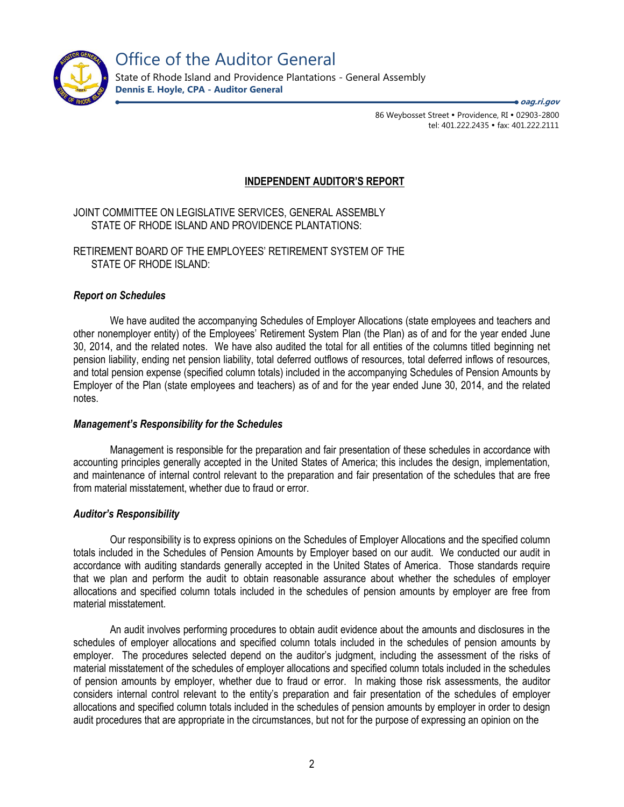

Office of the Auditor General

State of Rhode Island and Providence Plantations - General Assembly **Dennis E. Hoyle, CPA - Auditor General**

> 86 Weybosset Street • Providence, RI • 02903-2800 tel: 401.222.2435 · fax: 401.222.2111 **oag.ri.gov**

#### **INDEPENDENT AUDITOR'S REPORT**

JOINT COMMITTEE ON LEGISLATIVE SERVICES, GENERAL ASSEMBLY STATE OF RHODE ISLAND AND PROVIDENCE PLANTATIONS:

RETIREMENT BOARD OF THE EMPLOYEES' RETIREMENT SYSTEM OF THE STATE OF RHODE ISLAND:

#### *Report on Schedules*

We have audited the accompanying Schedules of Employer Allocations (state employees and teachers and other nonemployer entity) of the Employees' Retirement System Plan (the Plan) as of and for the year ended June 30, 2014, and the related notes. We have also audited the total for all entities of the columns titled beginning net pension liability, ending net pension liability, total deferred outflows of resources, total deferred inflows of resources, and total pension expense (specified column totals) included in the accompanying Schedules of Pension Amounts by Employer of the Plan (state employees and teachers) as of and for the year ended June 30, 2014, and the related notes.

#### *Management's Responsibility for the Schedules*

Management is responsible for the preparation and fair presentation of these schedules in accordance with accounting principles generally accepted in the United States of America; this includes the design, implementation, and maintenance of internal control relevant to the preparation and fair presentation of the schedules that are free from material misstatement, whether due to fraud or error.

#### *Auditor's Responsibility*

Our responsibility is to express opinions on the Schedules of Employer Allocations and the specified column totals included in the Schedules of Pension Amounts by Employer based on our audit. We conducted our audit in accordance with auditing standards generally accepted in the United States of America. Those standards require that we plan and perform the audit to obtain reasonable assurance about whether the schedules of employer allocations and specified column totals included in the schedules of pension amounts by employer are free from material misstatement.

An audit involves performing procedures to obtain audit evidence about the amounts and disclosures in the schedules of employer allocations and specified column totals included in the schedules of pension amounts by employer. The procedures selected depend on the auditor's judgment, including the assessment of the risks of material misstatement of the schedules of employer allocations and specified column totals included in the schedules of pension amounts by employer, whether due to fraud or error. In making those risk assessments, the auditor considers internal control relevant to the entity's preparation and fair presentation of the schedules of employer allocations and specified column totals included in the schedules of pension amounts by employer in order to design audit procedures that are appropriate in the circumstances, but not for the purpose of expressing an opinion on the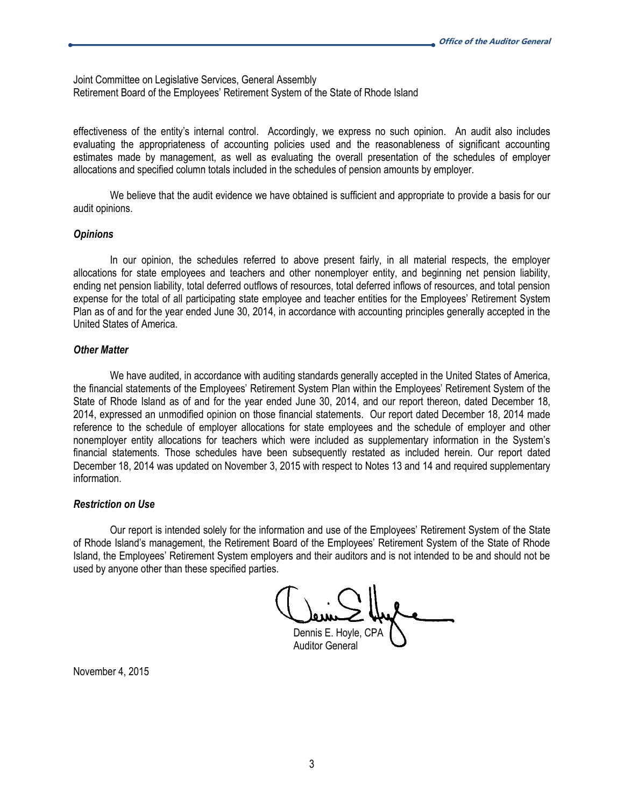Joint Committee on Legislative Services, General Assembly Retirement Board of the Employees' Retirement System of the State of Rhode Island

effectiveness of the entity's internal control. Accordingly, we express no such opinion. An audit also includes evaluating the appropriateness of accounting policies used and the reasonableness of significant accounting estimates made by management, as well as evaluating the overall presentation of the schedules of employer allocations and specified column totals included in the schedules of pension amounts by employer.

We believe that the audit evidence we have obtained is sufficient and appropriate to provide a basis for our audit opinions.

#### *Opinions*

In our opinion, the schedules referred to above present fairly, in all material respects, the employer allocations for state employees and teachers and other nonemployer entity, and beginning net pension liability, ending net pension liability, total deferred outflows of resources, total deferred inflows of resources, and total pension expense for the total of all participating state employee and teacher entities for the Employees' Retirement System Plan as of and for the year ended June 30, 2014, in accordance with accounting principles generally accepted in the United States of America.

#### *Other Matter*

We have audited, in accordance with auditing standards generally accepted in the United States of America, the financial statements of the Employees' Retirement System Plan within the Employees' Retirement System of the State of Rhode Island as of and for the year ended June 30, 2014, and our report thereon, dated December 18, 2014, expressed an unmodified opinion on those financial statements. Our report dated December 18, 2014 made reference to the schedule of employer allocations for state employees and the schedule of employer and other nonemployer entity allocations for teachers which were included as supplementary information in the System's financial statements. Those schedules have been subsequently restated as included herein. Our report dated December 18, 2014 was updated on November 3, 2015 with respect to Notes 13 and 14 and required supplementary information.

#### *Restriction on Use*

Our report is intended solely for the information and use of the Employees' Retirement System of the State of Rhode Island's management, the Retirement Board of the Employees' Retirement System of the State of Rhode Island, the Employees' Retirement System employers and their auditors and is not intended to be and should not be used by anyone other than these specified parties.

Dennis E. Hoyle, CPA Auditor General

November 4, 2015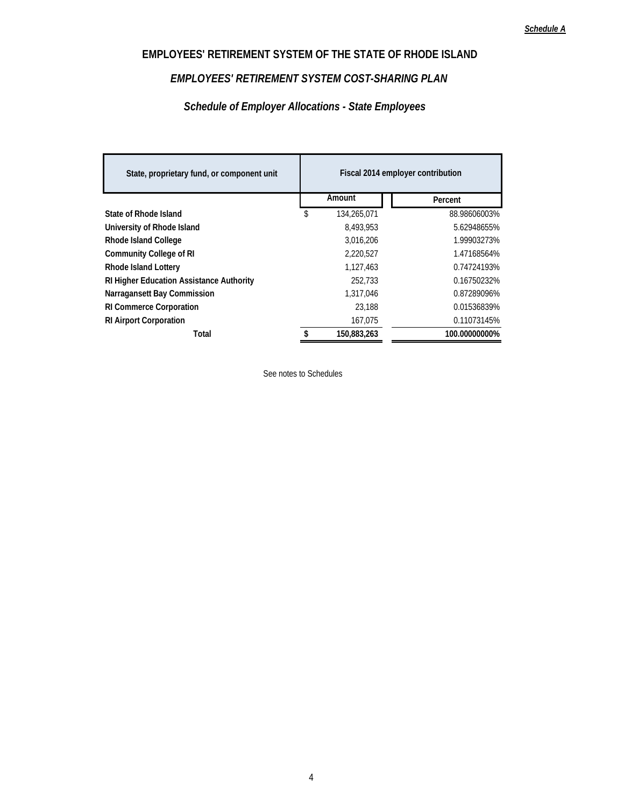## *EMPLOYEES' RETIREMENT SYSTEM COST-SHARING PLAN*

## *Schedule of Employer Allocations - State Employees*

| State, proprietary fund, or component unit      | Fiscal 2014 employer contribution |             |  |               |  |  |
|-------------------------------------------------|-----------------------------------|-------------|--|---------------|--|--|
|                                                 |                                   | Amount      |  | Percent       |  |  |
| State of Rhode Island                           | \$                                | 134,265,071 |  | 88.98606003%  |  |  |
| University of Rhode Island                      |                                   | 8,493,953   |  | 5.62948655%   |  |  |
| <b>Rhode Island College</b>                     |                                   | 3.016.206   |  | 1.99903273%   |  |  |
| <b>Community College of RI</b>                  |                                   | 2,220,527   |  | 1.47168564%   |  |  |
| <b>Rhode Island Lottery</b>                     |                                   | 1,127,463   |  | 0.74724193%   |  |  |
| <b>RI Higher Education Assistance Authority</b> |                                   | 252.733     |  | 0.16750232%   |  |  |
| Narragansett Bay Commission                     |                                   | 1,317,046   |  | 0.87289096%   |  |  |
| <b>RI Commerce Corporation</b>                  |                                   | 23.188      |  | 0.01536839%   |  |  |
| <b>RI Airport Corporation</b>                   |                                   | 167.075     |  | 0.11073145%   |  |  |
| Total                                           | \$                                | 150.883.263 |  | 100.00000000% |  |  |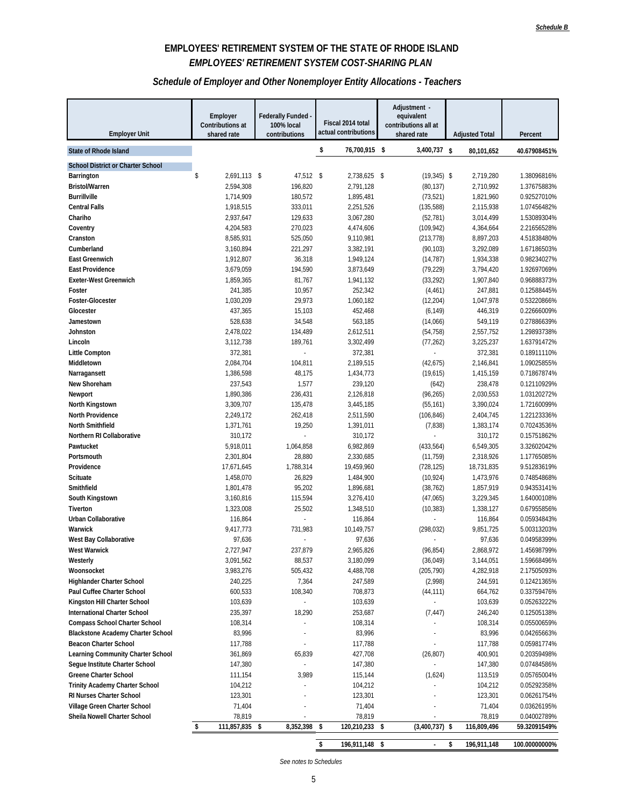## **EMPLOYEES' RETIREMENT SYSTEM OF THE STATE OF RHODE ISLAND** *EMPLOYEES' RETIREMENT SYSTEM COST-SHARING PLAN*

#### *Schedule of Employer and Other Nonemployer Entity Allocations - Teachers*

| <b>Employer Unit</b>                                           | Employer<br>Contributions at<br>shared rate | Federally Funded -<br>100% local<br>contributions | Fiscal 2014 total<br>actual contributions | Adjustment -<br>equivalent<br>contributions all at<br>shared rate | <b>Adjusted Total</b> | Percent                    |
|----------------------------------------------------------------|---------------------------------------------|---------------------------------------------------|-------------------------------------------|-------------------------------------------------------------------|-----------------------|----------------------------|
| <b>State of Rhode Island</b>                                   |                                             |                                                   | \$<br>76,700,915 \$                       | 3,400,737 \$                                                      | 80,101,652            | 40.67908451%               |
|                                                                |                                             |                                                   |                                           |                                                                   |                       |                            |
| <b>School District or Charter School</b><br>Barrington         | 2,691,113 \$<br>\$                          | 47,512 \$                                         | 2,738,625 \$                              | $(19,345)$ \$                                                     | 2,719,280             | 1.38096816%                |
| <b>Bristol/Warren</b>                                          | 2,594,308                                   | 196,820                                           | 2,791,128                                 | (80, 137)                                                         | 2,710,992             | 1.37675883%                |
| <b>Burrillville</b>                                            | 1,714,909                                   | 180,572                                           | 1,895,481                                 | (73, 521)                                                         | 1,821,960             | 0.92527010%                |
| <b>Central Falls</b>                                           | 1,918,515                                   | 333,011                                           | 2,251,526                                 | (135, 588)                                                        | 2,115,938             | 1.07456482%                |
| Chariho                                                        | 2,937,647                                   | 129,633                                           | 3,067,280                                 | (52, 781)                                                         | 3,014,499             | 1.53089304%                |
| Coventry                                                       | 4,204,583                                   | 270,023                                           | 4,474,606                                 | (109, 942)                                                        | 4,364,664             | 2.21656528%                |
| Cranston                                                       | 8,585,931                                   | 525,050                                           | 9,110,981                                 | (213, 778)                                                        | 8,897,203             | 4.51838480%                |
| Cumberland                                                     | 3,160,894                                   | 221,297                                           | 3,382,191                                 | (90, 103)                                                         | 3,292,089             | 1.67186503%                |
| <b>East Greenwich</b>                                          | 1,912,807                                   | 36,318                                            | 1,949,124                                 | (14, 787)                                                         | 1,934,338             | 0.98234027%                |
| <b>East Providence</b>                                         | 3,679,059                                   | 194,590                                           | 3,873,649                                 | (79, 229)                                                         | 3,794,420             | 1.92697069%                |
| <b>Exeter-West Greenwich</b>                                   | 1,859,365                                   | 81,767                                            | 1,941,132                                 | (33, 292)                                                         | 1,907,840             | 0.96888373%                |
| Foster                                                         | 241,385                                     | 10,957                                            | 252,342                                   | (4, 461)                                                          | 247,881               | 0.12588445%                |
| Foster-Glocester                                               | 1,030,209                                   | 29,973                                            | 1,060,182                                 | (12, 204)                                                         | 1,047,978             | 0.53220866%                |
| Glocester                                                      | 437,365                                     | 15,103                                            | 452,468                                   | (6, 149)                                                          | 446,319               | 0.22666009%                |
| Jamestown                                                      | 528,638                                     | 34,548                                            | 563,185                                   | (14,066)                                                          | 549,119               | 0.27886639%                |
| Johnston                                                       | 2,478,022                                   | 134,489                                           | 2,612,511                                 | (54, 758)                                                         | 2,557,752             | 1.29893738%                |
| Lincoln<br><b>Little Compton</b>                               | 3,112,738                                   | 189,761                                           | 3,302,499                                 | (77, 262)                                                         | 3,225,237             | 1.63791472%                |
| Middletown                                                     | 372,381<br>2,084,704                        | 104,811                                           | 372,381<br>2,189,515                      | (42, 675)                                                         | 372,381<br>2,146,841  | 0.18911110%<br>1.09025855% |
| Narragansett                                                   | 1,386,598                                   | 48,175                                            | 1,434,773                                 | (19,615)                                                          | 1,415,159             | 0.71867874%                |
| New Shoreham                                                   | 237,543                                     | 1,577                                             | 239,120                                   | (642)                                                             | 238,478               | 0.12110929%                |
| Newport                                                        | 1,890,386                                   | 236,431                                           | 2,126,818                                 | (96, 265)                                                         | 2,030,553             | 1.03120272%                |
| North Kingstown                                                | 3,309,707                                   | 135,478                                           | 3,445,185                                 | (55, 161)                                                         | 3,390,024             | 1.72160099%                |
| <b>North Providence</b>                                        | 2,249,172                                   | 262,418                                           | 2,511,590                                 | (106, 846)                                                        | 2,404,745             | 1.22123336%                |
| North Smithfield                                               | 1,371,761                                   | 19,250                                            | 1,391,011                                 | (7, 838)                                                          | 1,383,174             | 0.70243536%                |
| Northern RI Collaborative                                      | 310,172                                     |                                                   | 310,172                                   |                                                                   | 310,172               | 0.15751862%                |
| Pawtucket                                                      | 5,918,011                                   | 1,064,858                                         | 6,982,869                                 | (433, 564)                                                        | 6,549,305             | 3.32602042%                |
| Portsmouth                                                     | 2,301,804                                   | 28,880                                            | 2,330,685                                 | (11, 759)                                                         | 2,318,926             | 1.17765085%                |
| Providence                                                     | 17,671,645                                  | 1,788,314                                         | 19,459,960                                | (728, 125)                                                        | 18,731,835            | 9.51283619%                |
| Scituate                                                       | 1,458,070                                   | 26,829                                            | 1,484,900                                 | (10, 924)                                                         | 1,473,976             | 0.74854868%                |
| Smithfield                                                     | 1,801,478                                   | 95,202                                            | 1,896,681                                 | (38, 762)                                                         | 1,857,919             | 0.94353141%                |
| South Kingstown                                                | 3,160,816                                   | 115,594                                           | 3,276,410                                 | (47,065)                                                          | 3,229,345             | 1.64000108%                |
| Tiverton                                                       | 1,323,008                                   | 25,502                                            | 1,348,510                                 | (10, 383)                                                         | 1,338,127             | 0.67955856%                |
| Urban Collaborative                                            | 116,864                                     |                                                   | 116,864                                   |                                                                   | 116,864               | 0.05934843%                |
| Warwick                                                        | 9,417,773                                   | 731,983                                           | 10,149,757                                | (298, 032)                                                        | 9,851,725             | 5.00313203%                |
| West Bay Collaborative                                         | 97,636                                      |                                                   | 97,636                                    |                                                                   | 97,636                | 0.04958399%                |
| <b>West Warwick</b>                                            | 2,727,947                                   | 237,879                                           | 2,965,826                                 | (96, 854)                                                         | 2,868,972             | 1.45698799%                |
| Westerly                                                       | 3,091,562                                   | 88,537                                            | 3,180,099                                 | (36, 049)                                                         | 3,144,051             | 1.59668496%                |
| Woonsocket                                                     | 3,983,276<br>240,225                        | 505,432                                           | 4,488,708                                 | (205, 790)                                                        | 4,282,918             | 2.17505093%<br>0.12421365% |
| <b>Highlander Charter School</b><br>Paul Cuffee Charter School | 600,533                                     | 7,364<br>108,340                                  | 247,589<br>708,873                        | (2,998)<br>(44, 111)                                              | 244,591<br>664,762    | 0.33759476%                |
| Kingston Hill Charter School                                   | 103,639                                     |                                                   | 103,639                                   |                                                                   | 103,639               | 0.05263222%                |
| International Charter School                                   | 235,397                                     | 18,290                                            | 253,687                                   | (7, 447)                                                          | 246,240               | 0.12505138%                |
| <b>Compass School Charter School</b>                           | 108,314                                     |                                                   | 108,314                                   |                                                                   | 108,314               | 0.05500659%                |
| <b>Blackstone Academy Charter School</b>                       | 83,996                                      |                                                   | 83,996                                    |                                                                   | 83,996                | 0.04265663%                |
| <b>Beacon Charter School</b>                                   | 117,788                                     |                                                   | 117,788                                   |                                                                   | 117,788               | 0.05981774%                |
| Learning Community Charter School                              | 361,869                                     | 65,839                                            | 427,708                                   | (26, 807)                                                         | 400,901               | 0.20359498%                |
| Segue Institute Charter School                                 | 147,380                                     |                                                   | 147,380                                   |                                                                   | 147,380               | 0.07484586%                |
| Greene Charter School                                          | 111,154                                     | 3,989                                             | 115,144                                   | (1,624)                                                           | 113,519               | 0.05765004%                |
| <b>Trinity Academy Charter School</b>                          | 104,212                                     |                                                   | 104,212                                   |                                                                   | 104,212               | 0.05292358%                |
| RI Nurses Charter School                                       | 123,301                                     |                                                   | 123,301                                   |                                                                   | 123,301               | 0.06261754%                |
| Village Green Charter School                                   | 71,404                                      |                                                   | 71,404                                    |                                                                   | 71,404                | 0.03626195%                |
| Sheila Nowell Charter School                                   | 78,819                                      | $\overline{a}$                                    | 78,819                                    |                                                                   | 78,819                | 0.04002789%                |
|                                                                | 111,857,835<br>\$                           | \$<br>8,352,398                                   | \$<br>120,210,233 \$                      | $(3,400,737)$ \$                                                  | 116,809,496           | 59.32091549%               |
|                                                                |                                             |                                                   | \$<br>196,911,148 \$                      | $\overline{\phantom{a}}$                                          | \$<br>196,911,148     | 100.00000000%              |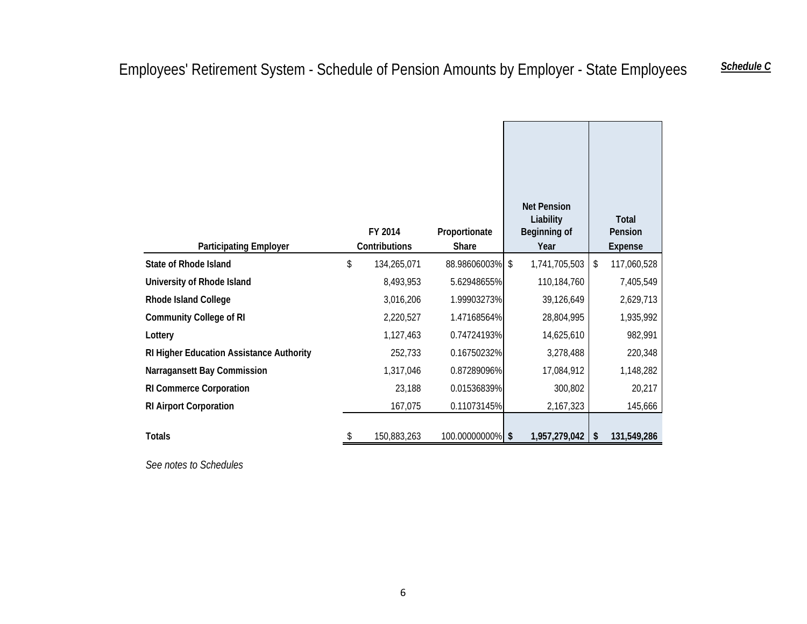| <b>Participating Employer</b>            | FY 2014<br>Contributions | Proportionate<br>Share | <b>Net Pension</b><br>Liability<br>Beginning of<br>Year | <b>Total</b><br>Pension<br>Expense |
|------------------------------------------|--------------------------|------------------------|---------------------------------------------------------|------------------------------------|
| <b>State of Rhode Island</b>             | \$<br>134,265,071        | 88.98606003%           | \$<br>1,741,705,503                                     | \$<br>117,060,528                  |
| University of Rhode Island               | 8,493,953                | 5.62948655%            | 110,184,760                                             | 7,405,549                          |
| <b>Rhode Island College</b>              | 3,016,206                | 1.99903273%            | 39,126,649                                              | 2,629,713                          |
| <b>Community College of RI</b>           | 2,220,527                | 1.47168564%            | 28,804,995                                              | 1,935,992                          |
| Lottery                                  | 1,127,463                | 0.74724193%            | 14,625,610                                              | 982,991                            |
| RI Higher Education Assistance Authority | 252,733                  | 0.16750232%            | 3,278,488                                               | 220,348                            |
| Narragansett Bay Commission              | 1,317,046                | 0.87289096%            | 17,084,912                                              | 1,148,282                          |
| <b>RI Commerce Corporation</b>           | 23,188                   | 0.01536839%            | 300,802                                                 | 20,217                             |
| <b>RI Airport Corporation</b>            | 167,075                  | 0.11073145%            | 2,167,323                                               | 145,666                            |
| <b>Totals</b>                            | 150,883,263              | 100.00000000% \$       | 1,957,279,042                                           | \$<br>131,549,286                  |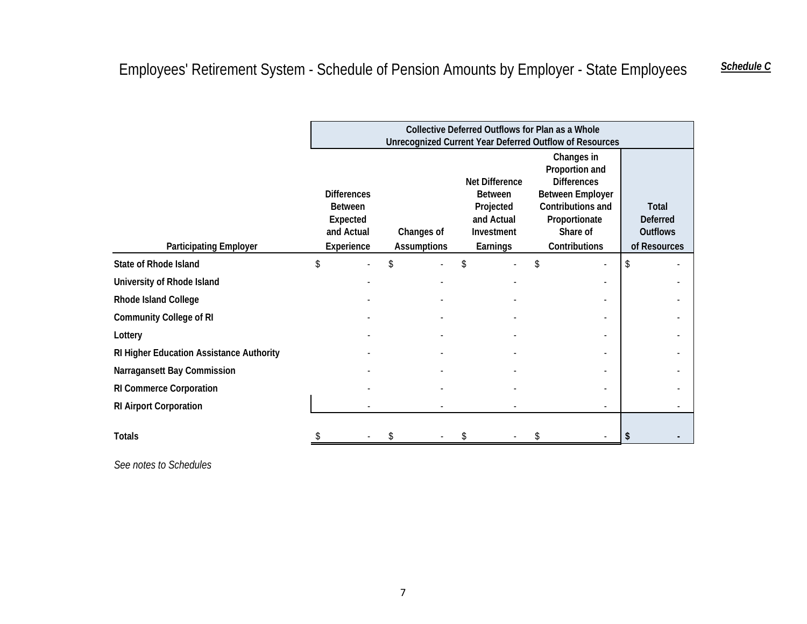|                                          |                                                                              |  |                                  |                                                                                              | Collective Deferred Outflows for Plan as a Whole<br><b>Unrecognized Current Year Deferred Outflow of Resources</b>                               |                                                             |  |
|------------------------------------------|------------------------------------------------------------------------------|--|----------------------------------|----------------------------------------------------------------------------------------------|--------------------------------------------------------------------------------------------------------------------------------------------------|-------------------------------------------------------------|--|
| <b>Participating Employer</b>            | <b>Differences</b><br><b>Between</b><br>Expected<br>and Actual<br>Experience |  | Changes of<br><b>Assumptions</b> | <b>Net Difference</b><br><b>Between</b><br>Projected<br>and Actual<br>Investment<br>Earnings | Changes in<br>Proportion and<br><b>Differences</b><br><b>Between Employer</b><br>Contributions and<br>Proportionate<br>Share of<br>Contributions | Total<br><b>Deferred</b><br><b>Outflows</b><br>of Resources |  |
| <b>State of Rhode Island</b>             | \$                                                                           |  |                                  |                                                                                              |                                                                                                                                                  |                                                             |  |
| University of Rhode Island               |                                                                              |  |                                  |                                                                                              |                                                                                                                                                  |                                                             |  |
| Rhode Island College                     |                                                                              |  |                                  |                                                                                              |                                                                                                                                                  |                                                             |  |
| <b>Community College of RI</b>           |                                                                              |  |                                  |                                                                                              |                                                                                                                                                  |                                                             |  |
| Lottery                                  |                                                                              |  |                                  |                                                                                              |                                                                                                                                                  |                                                             |  |
| RI Higher Education Assistance Authority |                                                                              |  |                                  |                                                                                              |                                                                                                                                                  |                                                             |  |
| Narragansett Bay Commission              |                                                                              |  |                                  |                                                                                              |                                                                                                                                                  |                                                             |  |
| <b>RI Commerce Corporation</b>           |                                                                              |  |                                  |                                                                                              |                                                                                                                                                  |                                                             |  |
| <b>RI Airport Corporation</b>            |                                                                              |  |                                  |                                                                                              |                                                                                                                                                  |                                                             |  |
| <b>Totals</b>                            |                                                                              |  |                                  |                                                                                              |                                                                                                                                                  |                                                             |  |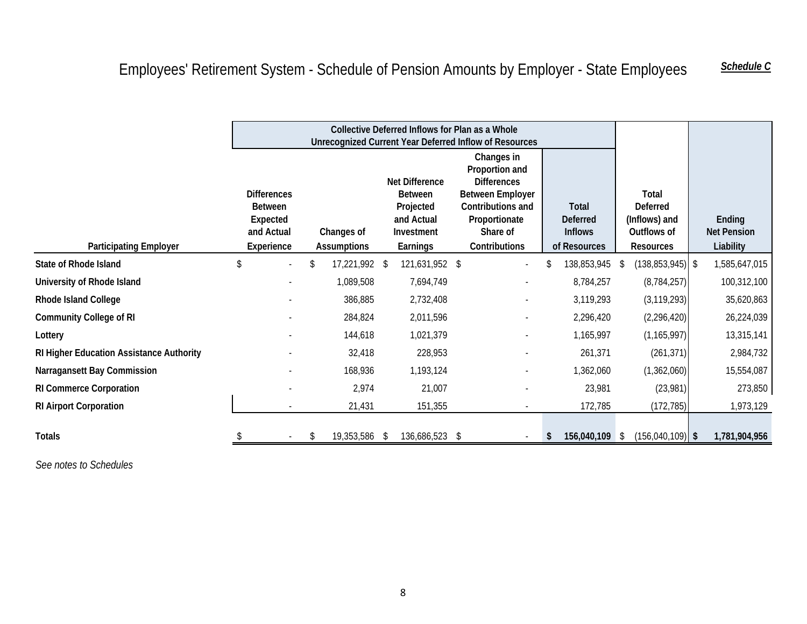# Employees' Retirement System - Schedule of Pension Amounts by Employer - State Employees *Schedule C*

|                                          |                                                                              |                                  |     |                                                                                              | Collective Deferred Inflows for Plan as a Whole<br>Unrecognized Current Year Deferred Inflow of Resources                                        |                                                            |    |                                                                              |                                           |
|------------------------------------------|------------------------------------------------------------------------------|----------------------------------|-----|----------------------------------------------------------------------------------------------|--------------------------------------------------------------------------------------------------------------------------------------------------|------------------------------------------------------------|----|------------------------------------------------------------------------------|-------------------------------------------|
| <b>Participating Employer</b>            | <b>Differences</b><br><b>Between</b><br>Expected<br>and Actual<br>Experience | Changes of<br><b>Assumptions</b> |     | <b>Net Difference</b><br><b>Between</b><br>Projected<br>and Actual<br>Investment<br>Earnings | Changes in<br>Proportion and<br><b>Differences</b><br><b>Between Employer</b><br>Contributions and<br>Proportionate<br>Share of<br>Contributions | Total<br><b>Deferred</b><br><b>Inflows</b><br>of Resources |    | Total<br><b>Deferred</b><br>(Inflows) and<br>Outflows of<br><b>Resources</b> | Ending<br><b>Net Pension</b><br>Liability |
| <b>State of Rhode Island</b>             |                                                                              | 17,221,992 \$                    |     | 121,631,952 \$                                                                               |                                                                                                                                                  | 138,853,945                                                | -S | $(138, 853, 945)$ \$                                                         | 1,585,647,015                             |
| University of Rhode Island               |                                                                              | 1,089,508                        |     | 7,694,749                                                                                    |                                                                                                                                                  | 8,784,257                                                  |    | (8, 784, 257)                                                                | 100,312,100                               |
| Rhode Island College                     |                                                                              | 386,885                          |     | 2,732,408                                                                                    |                                                                                                                                                  | 3,119,293                                                  |    | (3, 119, 293)                                                                | 35,620,863                                |
| <b>Community College of RI</b>           |                                                                              | 284,824                          |     | 2,011,596                                                                                    |                                                                                                                                                  | 2,296,420                                                  |    | (2, 296, 420)                                                                | 26,224,039                                |
| Lottery                                  |                                                                              | 144,618                          |     | 1,021,379                                                                                    |                                                                                                                                                  | 1,165,997                                                  |    | (1, 165, 997)                                                                | 13,315,141                                |
| RI Higher Education Assistance Authority |                                                                              | 32,418                           |     | 228,953                                                                                      |                                                                                                                                                  | 261,371                                                    |    | (261, 371)                                                                   | 2,984,732                                 |
| Narragansett Bay Commission              |                                                                              | 168,936                          |     | 1,193,124                                                                                    |                                                                                                                                                  | 1,362,060                                                  |    | (1,362,060)                                                                  | 15,554,087                                |
| <b>RI Commerce Corporation</b>           |                                                                              | 2,974                            |     | 21,007                                                                                       |                                                                                                                                                  | 23,981                                                     |    | (23,981)                                                                     | 273,850                                   |
| <b>RI Airport Corporation</b>            |                                                                              | 21,431                           |     | 151,355                                                                                      |                                                                                                                                                  | 172,785                                                    |    | (172, 785)                                                                   | 1,973,129                                 |
| <b>Totals</b>                            |                                                                              | \$<br>19,353,586                 | -\$ | 136,686,523 \$                                                                               |                                                                                                                                                  | 156,040,109                                                | -S | $(156,040,109)$ \$                                                           | 1,781,904,956                             |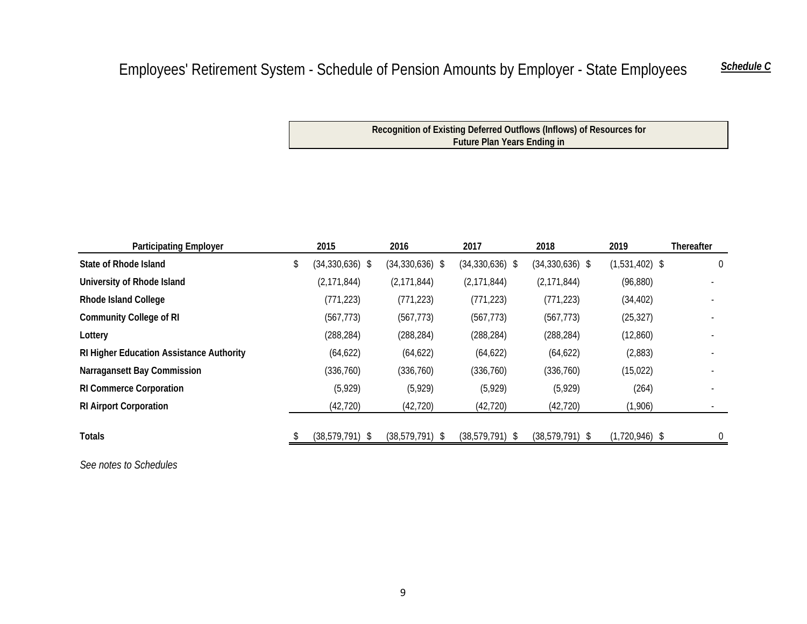# Employees' Retirement System - Schedule of Pension Amounts by Employer - State Employees Schedule C

**Recognition of Existing Deferred Outflows (Inflows) of Resources for Future Plan Years Ending in**

| <b>Participating Employer</b>                   | 2015              | 2016                | 2017              | 2018              | 2019             | <b>Thereafter</b> |
|-------------------------------------------------|-------------------|---------------------|-------------------|-------------------|------------------|-------------------|
| State of Rhode Island                           | $(34,330,636)$ \$ | $(34, 330, 636)$ \$ | $(34,330,636)$ \$ | $(34,330,636)$ \$ | $(1,531,402)$ \$ | $\mathbf{0}$      |
| University of Rhode Island                      | (2, 171, 844)     | (2, 171, 844)       | (2, 171, 844)     | (2, 171, 844)     | (96, 880)        |                   |
| <b>Rhode Island College</b>                     | (771, 223)        | (771, 223)          | (771, 223)        | (771, 223)        | (34, 402)        |                   |
| <b>Community College of RI</b>                  | (567, 773)        | (567, 773)          | (567, 773)        | (567, 773)        | (25, 327)        |                   |
| Lottery                                         | (288, 284)        | (288, 284)          | (288, 284)        | (288, 284)        | (12, 860)        |                   |
| <b>RI Higher Education Assistance Authority</b> | (64, 622)         | (64, 622)           | (64, 622)         | (64, 622)         | (2,883)          |                   |
| Narragansett Bay Commission                     | (336, 760)        | (336,760)           | (336, 760)        | (336, 760)        | (15, 022)        |                   |
| <b>RI Commerce Corporation</b>                  | (5,929)           | (5,929)             | (5, 929)          | (5, 929)          | (264)            |                   |
| <b>RI Airport Corporation</b>                   | (42, 720)         | (42, 720)           | (42, 720)         | (42, 720)         | (1,906)          |                   |
| <b>Totals</b>                                   | $(38,579,791)$ \$ | $(38,579,791)$ \$   | $(38,579,791)$ \$ | $(38,579,791)$ \$ | $(1,720,946)$ \$ | $\overline{0}$    |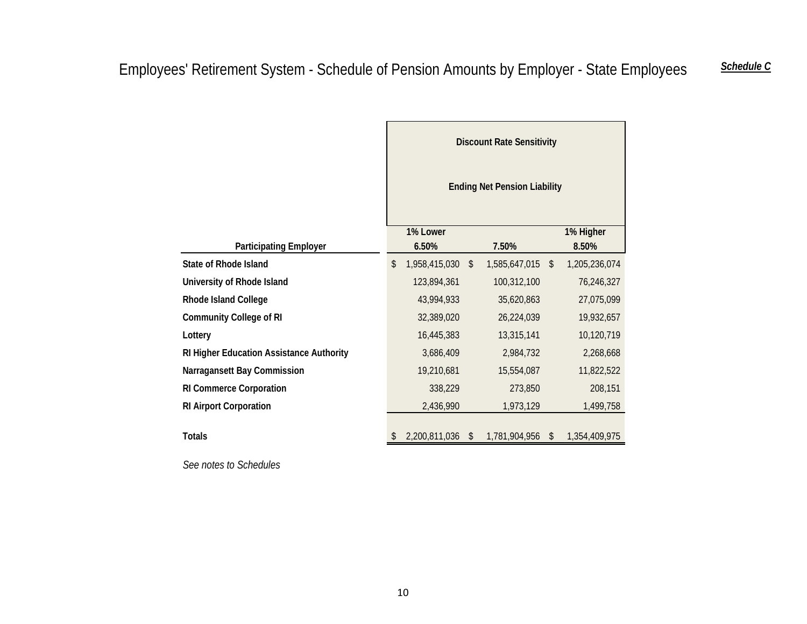|                                          |                                     |               |              | <b>Discount Rate Sensitivity</b> |               |               |  |  |  |  |
|------------------------------------------|-------------------------------------|---------------|--------------|----------------------------------|---------------|---------------|--|--|--|--|
|                                          | <b>Ending Net Pension Liability</b> |               |              |                                  |               |               |  |  |  |  |
|                                          |                                     | 1% Lower      |              |                                  |               | 1% Higher     |  |  |  |  |
| <b>Participating Employer</b>            |                                     | 6.50%         |              | 7.50%                            |               | 8.50%         |  |  |  |  |
| <b>State of Rhode Island</b>             | \$                                  | 1,958,415,030 | $\mathbb{S}$ | 1,585,647,015                    | $\mathbb{S}$  | 1,205,236,074 |  |  |  |  |
| University of Rhode Island               |                                     | 123,894,361   |              | 100,312,100                      |               | 76,246,327    |  |  |  |  |
| Rhode Island College                     |                                     | 43,994,933    |              | 35,620,863                       |               | 27,075,099    |  |  |  |  |
| <b>Community College of RI</b>           |                                     | 32,389,020    |              | 26,224,039                       |               | 19,932,657    |  |  |  |  |
| Lottery                                  |                                     | 16,445,383    |              | 13,315,141                       |               | 10,120,719    |  |  |  |  |
| RI Higher Education Assistance Authority |                                     | 3,686,409     |              | 2,984,732                        |               | 2,268,668     |  |  |  |  |
| Narragansett Bay Commission              |                                     | 19,210,681    |              | 15,554,087                       |               | 11,822,522    |  |  |  |  |
| <b>RI Commerce Corporation</b>           |                                     | 338,229       |              | 273,850                          |               | 208,151       |  |  |  |  |
| <b>RI Airport Corporation</b>            |                                     | 2,436,990     |              | 1,973,129                        |               | 1,499,758     |  |  |  |  |
| <b>Totals</b>                            |                                     | 2,200,811,036 | \$           | 1,781,904,956                    | $\mathcal{L}$ | 1,354,409,975 |  |  |  |  |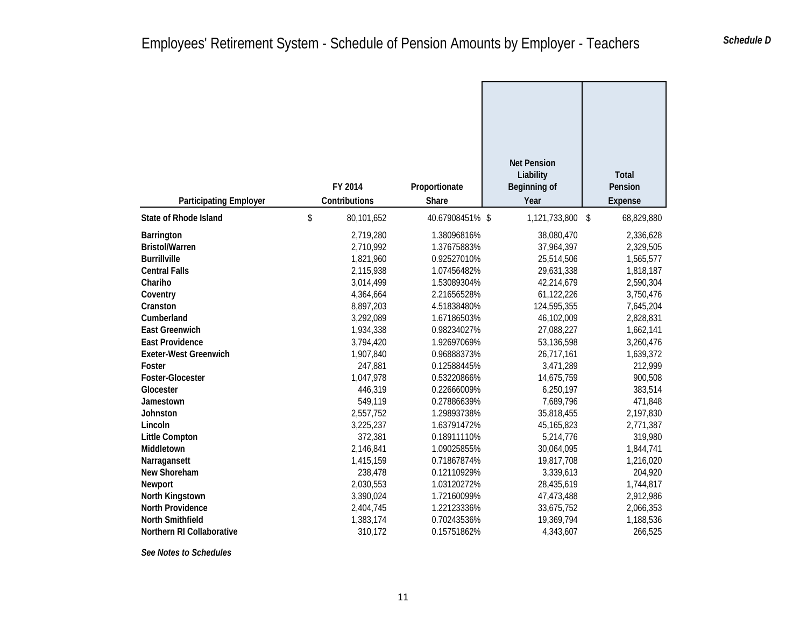| <b>Participating Employer</b>                                     | FY 2014<br>Contributions            | Proportionate<br>Share                    | <b>Net Pension</b><br>Liability<br>Beginning of<br>Year | <b>Total</b><br>Pension<br><b>Expense</b> |                                     |
|-------------------------------------------------------------------|-------------------------------------|-------------------------------------------|---------------------------------------------------------|-------------------------------------------|-------------------------------------|
| <b>State of Rhode Island</b>                                      | \$<br>80,101,652                    | 40.67908451% \$                           | 1,121,733,800                                           | \$                                        | 68,829,880                          |
| <b>Barrington</b><br><b>Bristol/Warren</b><br><b>Burrillville</b> | 2,719,280<br>2,710,992<br>1,821,960 | 1.38096816%<br>1.37675883%<br>0.92527010% | 38,080,470<br>37,964,397<br>25,514,506                  |                                           | 2,336,628<br>2,329,505<br>1,565,577 |
| <b>Central Falls</b><br>Chariho                                   | 2,115,938<br>3,014,499              | 1.07456482%<br>1.53089304%                | 29,631,338<br>42,214,679                                |                                           | 1,818,187<br>2,590,304              |
| Coventry<br>Cranston                                              | 4,364,664<br>8,897,203              | 2.21656528%<br>4.51838480%                | 61,122,226<br>124,595,355                               |                                           | 3,750,476<br>7,645,204              |
| Cumberland<br><b>East Greenwich</b>                               | 3,292,089<br>1,934,338              | 1.67186503%<br>0.98234027%                | 46,102,009<br>27,088,227                                |                                           | 2,828,831<br>1,662,141              |
| <b>East Providence</b><br><b>Exeter-West Greenwich</b>            | 3,794,420<br>1,907,840              | 1.92697069%<br>0.96888373%                | 53,136,598<br>26,717,161                                |                                           | 3,260,476<br>1,639,372              |
| Foster<br>Foster-Glocester                                        | 247,881<br>1,047,978                | 0.12588445%<br>0.53220866%                | 3,471,289<br>14,675,759                                 |                                           | 212,999<br>900,508                  |
| Glocester<br>Jamestown                                            | 446,319<br>549,119                  | 0.22666009%<br>0.27886639%                | 6,250,197<br>7,689,796                                  |                                           | 383,514<br>471,848                  |
| Johnston<br>Lincoln                                               | 2,557,752<br>3,225,237              | 1.29893738%<br>1.63791472%                | 35,818,455<br>45, 165, 823                              |                                           | 2,197,830<br>2,771,387              |
| <b>Little Compton</b><br>Middletown                               | 372,381<br>2,146,841                | 0.18911110%<br>1.09025855%                | 5,214,776<br>30,064,095                                 |                                           | 319,980<br>1,844,741                |
| Narragansett<br>New Shoreham                                      | 1,415,159<br>238,478                | 0.71867874%<br>0.12110929%                | 19,817,708<br>3,339,613                                 |                                           | 1,216,020<br>204,920                |
| Newport<br>North Kingstown                                        | 2,030,553<br>3,390,024              | 1.03120272%<br>1.72160099%                | 28,435,619<br>47,473,488                                |                                           | 1,744,817<br>2,912,986              |
| <b>North Providence</b><br><b>North Smithfield</b>                | 2,404,745<br>1,383,174              | 1.22123336%<br>0.70243536%                | 33,675,752<br>19,369,794                                |                                           | 2,066,353<br>1,188,536              |
| Northern RI Collaborative                                         | 310,172                             | 0.15751862%                               | 4,343,607                                               |                                           | 266,525                             |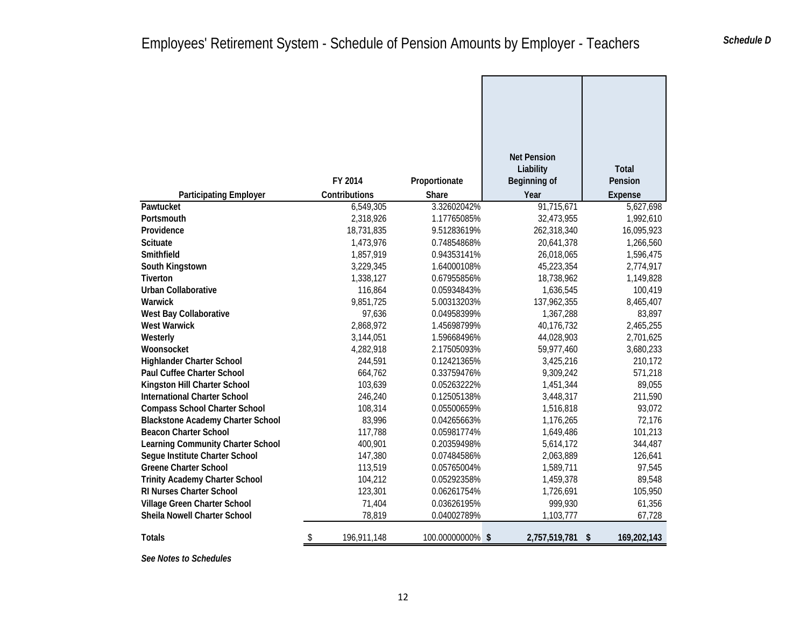|                                          |                   |                  | <b>Net Pension</b> |                    |
|------------------------------------------|-------------------|------------------|--------------------|--------------------|
|                                          |                   |                  | Liability          | <b>Total</b>       |
|                                          | FY 2014           | Proportionate    | Beginning of       | Pension            |
| <b>Participating Employer</b>            | Contributions     | Share            | Year               | Expense            |
| Pawtucket                                | 6,549,305         | 3.32602042%      | 91,715,671         | 5,627,698          |
| Portsmouth                               | 2,318,926         | 1.17765085%      | 32,473,955         | 1,992,610          |
| Providence                               | 18,731,835        | 9.51283619%      | 262,318,340        | 16,095,923         |
| Scituate                                 | 1,473,976         | 0.74854868%      | 20,641,378         | 1,266,560          |
| Smithfield                               | 1,857,919         | 0.94353141%      | 26,018,065         | 1,596,475          |
| South Kingstown                          | 3,229,345         | 1.64000108%      | 45,223,354         | 2,774,917          |
| Tiverton                                 | 1,338,127         | 0.67955856%      | 18,738,962         | 1,149,828          |
| <b>Urban Collaborative</b>               | 116,864           | 0.05934843%      | 1,636,545          | 100,419            |
| Warwick                                  | 9,851,725         | 5.00313203%      | 137,962,355        | 8,465,407          |
| West Bay Collaborative                   | 97,636            | 0.04958399%      | 1,367,288          | 83,897             |
| <b>West Warwick</b>                      | 2,868,972         | 1.45698799%      | 40,176,732         | 2,465,255          |
| Westerly                                 | 3,144,051         | 1.59668496%      | 44,028,903         | 2,701,625          |
| Woonsocket                               | 4,282,918         | 2.17505093%      | 59,977,460         | 3,680,233          |
| <b>Highlander Charter School</b>         | 244,591           | 0.12421365%      | 3,425,216          | 210,172            |
| <b>Paul Cuffee Charter School</b>        | 664,762           | 0.33759476%      | 9,309,242          | 571,218            |
| Kingston Hill Charter School             | 103,639           | 0.05263222%      | 1,451,344          | 89,055             |
| <b>International Charter School</b>      | 246,240           | 0.12505138%      | 3,448,317          | 211,590            |
| <b>Compass School Charter School</b>     | 108,314           | 0.05500659%      | 1,516,818          | 93,072             |
| <b>Blackstone Academy Charter School</b> | 83,996            | 0.04265663%      | 1,176,265          | 72,176             |
| <b>Beacon Charter School</b>             | 117,788           | 0.05981774%      | 1,649,486          | 101,213            |
| Learning Community Charter School        | 400,901           | 0.20359498%      | 5,614,172          | 344,487            |
| Segue Institute Charter School           | 147,380           | 0.07484586%      | 2,063,889          | 126,641            |
| <b>Greene Charter School</b>             | 113,519           | 0.05765004%      | 1,589,711          | 97,545             |
| <b>Trinity Academy Charter School</b>    | 104,212           | 0.05292358%      | 1,459,378          | 89,548             |
| RI Nurses Charter School                 | 123,301           | 0.06261754%      | 1,726,691          | 105,950            |
| Village Green Charter School             | 71,404            | 0.03626195%      | 999,930            | 61,356             |
| Sheila Nowell Charter School             | 78,819            | 0.04002789%      | 1,103,777          | 67,728             |
| Totals                                   | \$<br>196,911,148 | 100.00000000% \$ | 2,757,519,781      | 169,202,143<br>-\$ |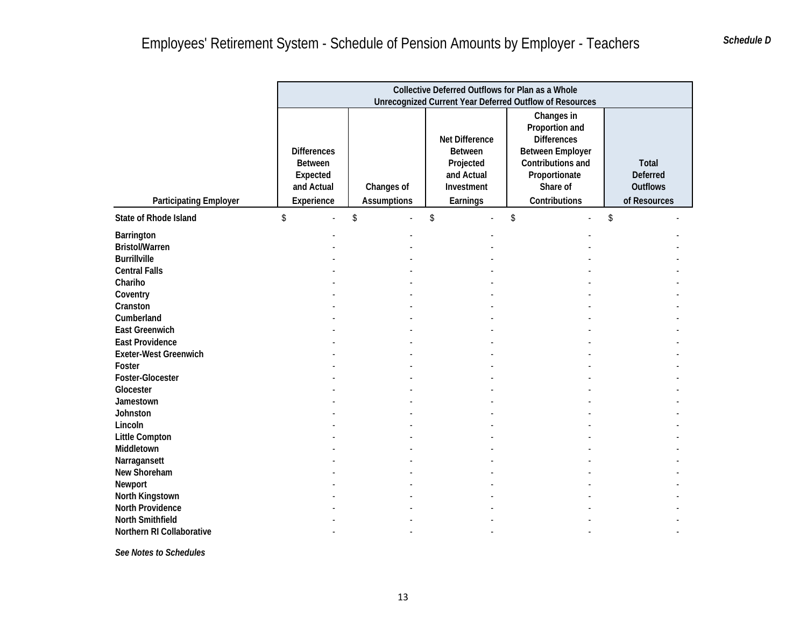|                                                                                                                                                                                                                                                                                                       |                                                                              |                                  | Collective Deferred Outflows for Plan as a Whole                               | <b>Unrecognized Current Year Deferred Outflow of Resources</b>                                                                                   |                                                                    |
|-------------------------------------------------------------------------------------------------------------------------------------------------------------------------------------------------------------------------------------------------------------------------------------------------------|------------------------------------------------------------------------------|----------------------------------|--------------------------------------------------------------------------------|--------------------------------------------------------------------------------------------------------------------------------------------------|--------------------------------------------------------------------|
| <b>Participating Employer</b>                                                                                                                                                                                                                                                                         | <b>Differences</b><br><b>Between</b><br>Expected<br>and Actual<br>Experience | Changes of<br><b>Assumptions</b> | Net Difference<br>Between<br>Projected<br>and Actual<br>Investment<br>Earnings | Changes in<br>Proportion and<br><b>Differences</b><br><b>Between Employer</b><br>Contributions and<br>Proportionate<br>Share of<br>Contributions | <b>Total</b><br><b>Deferred</b><br><b>Outflows</b><br>of Resources |
| <b>State of Rhode Island</b>                                                                                                                                                                                                                                                                          | \$<br>L.                                                                     | \$<br>L.                         | \$                                                                             | \$                                                                                                                                               | \$                                                                 |
| Barrington<br><b>Bristol/Warren</b><br><b>Burrillville</b><br><b>Central Falls</b><br>Chariho<br>Coventry<br>Cranston<br>Cumberland<br><b>East Greenwich</b><br><b>East Providence</b><br><b>Exeter-West Greenwich</b><br>Foster<br>Foster-Glocester<br>Glocester<br>Jamestown<br>Johnston<br>Lincoln |                                                                              |                                  |                                                                                |                                                                                                                                                  |                                                                    |
| <b>Little Compton</b>                                                                                                                                                                                                                                                                                 |                                                                              |                                  |                                                                                |                                                                                                                                                  |                                                                    |
| Middletown<br>Narragansett<br>New Shoreham<br>Newport<br>North Kingstown                                                                                                                                                                                                                              |                                                                              |                                  |                                                                                |                                                                                                                                                  |                                                                    |
| <b>North Providence</b><br><b>North Smithfield</b><br>Northern RI Collaborative                                                                                                                                                                                                                       |                                                                              |                                  |                                                                                |                                                                                                                                                  |                                                                    |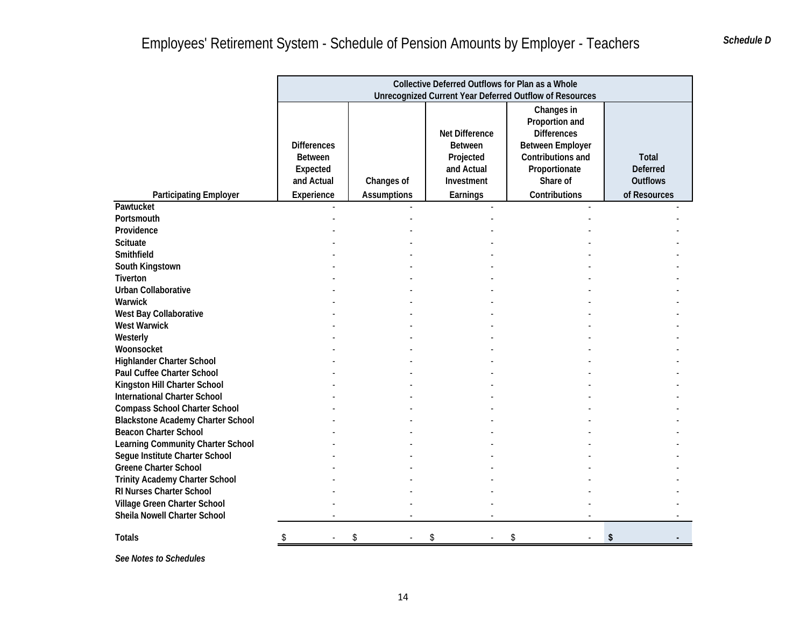|                                                                       |                                                                              |                                  | Collective Deferred Outflows for Plan as a Whole                                             | <b>Unrecognized Current Year Deferred Outflow of Resources</b>                                                                                   |                                                             |
|-----------------------------------------------------------------------|------------------------------------------------------------------------------|----------------------------------|----------------------------------------------------------------------------------------------|--------------------------------------------------------------------------------------------------------------------------------------------------|-------------------------------------------------------------|
| <b>Participating Employer</b>                                         | <b>Differences</b><br><b>Between</b><br>Expected<br>and Actual<br>Experience | Changes of<br><b>Assumptions</b> | <b>Net Difference</b><br><b>Between</b><br>Projected<br>and Actual<br>Investment<br>Earnings | Changes in<br>Proportion and<br><b>Differences</b><br><b>Between Employer</b><br>Contributions and<br>Proportionate<br>Share of<br>Contributions | Total<br><b>Deferred</b><br><b>Outflows</b><br>of Resources |
| Pawtucket                                                             |                                                                              |                                  |                                                                                              |                                                                                                                                                  |                                                             |
| Portsmouth<br>Providence                                              |                                                                              |                                  |                                                                                              |                                                                                                                                                  |                                                             |
| <b>Scituate</b>                                                       |                                                                              |                                  |                                                                                              |                                                                                                                                                  |                                                             |
| Smithfield                                                            |                                                                              |                                  |                                                                                              |                                                                                                                                                  |                                                             |
| South Kingstown<br>Tiverton                                           |                                                                              |                                  |                                                                                              |                                                                                                                                                  |                                                             |
| <b>Urban Collaborative</b>                                            |                                                                              |                                  |                                                                                              |                                                                                                                                                  |                                                             |
| Warwick                                                               |                                                                              |                                  |                                                                                              |                                                                                                                                                  |                                                             |
| West Bay Collaborative                                                |                                                                              |                                  |                                                                                              |                                                                                                                                                  |                                                             |
| <b>West Warwick</b>                                                   |                                                                              |                                  |                                                                                              |                                                                                                                                                  |                                                             |
| Westerly                                                              |                                                                              |                                  |                                                                                              |                                                                                                                                                  |                                                             |
| Woonsocket                                                            |                                                                              |                                  |                                                                                              |                                                                                                                                                  |                                                             |
| <b>Highlander Charter School</b>                                      |                                                                              |                                  |                                                                                              |                                                                                                                                                  |                                                             |
| Paul Cuffee Charter School                                            |                                                                              |                                  |                                                                                              |                                                                                                                                                  |                                                             |
| Kingston Hill Charter School                                          |                                                                              |                                  |                                                                                              |                                                                                                                                                  |                                                             |
| <b>International Charter School</b>                                   |                                                                              |                                  |                                                                                              |                                                                                                                                                  |                                                             |
| <b>Compass School Charter School</b>                                  |                                                                              |                                  |                                                                                              |                                                                                                                                                  |                                                             |
| <b>Blackstone Academy Charter School</b>                              |                                                                              |                                  |                                                                                              |                                                                                                                                                  |                                                             |
| <b>Beacon Charter School</b>                                          |                                                                              |                                  |                                                                                              |                                                                                                                                                  |                                                             |
| Learning Community Charter School                                     |                                                                              |                                  |                                                                                              |                                                                                                                                                  |                                                             |
| Segue Institute Charter School                                        |                                                                              |                                  |                                                                                              |                                                                                                                                                  |                                                             |
| <b>Greene Charter School</b><br><b>Trinity Academy Charter School</b> |                                                                              |                                  |                                                                                              |                                                                                                                                                  |                                                             |
| <b>RI Nurses Charter School</b>                                       |                                                                              |                                  |                                                                                              |                                                                                                                                                  |                                                             |
| Village Green Charter School                                          |                                                                              |                                  |                                                                                              |                                                                                                                                                  |                                                             |
| Sheila Nowell Charter School                                          |                                                                              |                                  |                                                                                              |                                                                                                                                                  |                                                             |
| <b>Totals</b>                                                         | \$                                                                           | \$                               | \$                                                                                           |                                                                                                                                                  | \$                                                          |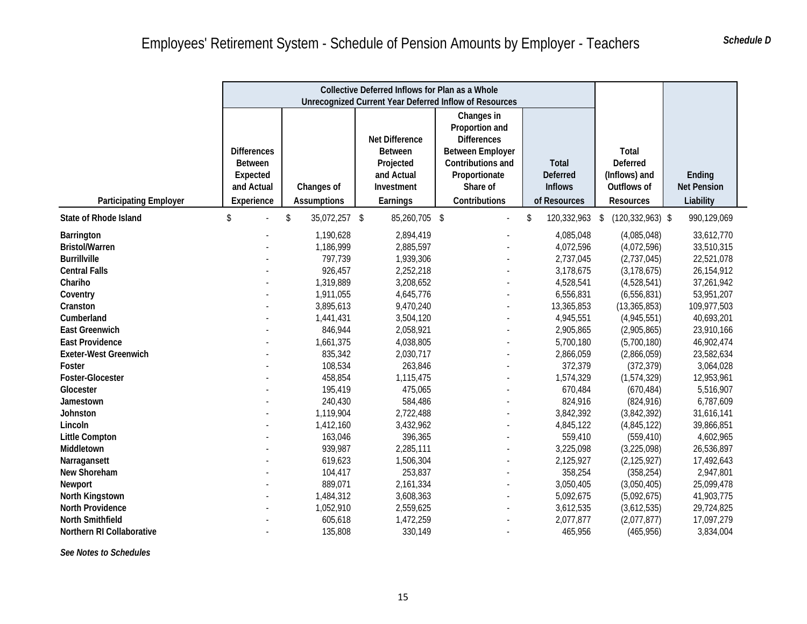|                                                                                    |                                                                              | Collective Deferred Inflows for Plan as a Whole               |                                                                                       |                                                                                                                                                  |                                                                   |                                                                              |                                                      |
|------------------------------------------------------------------------------------|------------------------------------------------------------------------------|---------------------------------------------------------------|---------------------------------------------------------------------------------------|--------------------------------------------------------------------------------------------------------------------------------------------------|-------------------------------------------------------------------|------------------------------------------------------------------------------|------------------------------------------------------|
|                                                                                    |                                                                              | <b>Unrecognized Current Year Deferred Inflow of Resources</b> |                                                                                       |                                                                                                                                                  |                                                                   |                                                                              |                                                      |
| <b>Participating Employer</b>                                                      | <b>Differences</b><br><b>Between</b><br>Expected<br>and Actual<br>Experience | Changes of<br><b>Assumptions</b>                              | Net Difference<br><b>Between</b><br>Projected<br>and Actual<br>Investment<br>Earnings | Changes in<br>Proportion and<br><b>Differences</b><br><b>Between Employer</b><br>Contributions and<br>Proportionate<br>Share of<br>Contributions | <b>Total</b><br><b>Deferred</b><br><b>Inflows</b><br>of Resources | <b>Total</b><br>Deferred<br>(Inflows) and<br>Outflows of<br><b>Resources</b> | Ending<br><b>Net Pension</b><br>Liability            |
| <b>State of Rhode Island</b>                                                       | \$                                                                           | 35,072,257 \$<br>\$                                           | 85,260,705 \$                                                                         |                                                                                                                                                  | \$<br>120,332,963 \$                                              | $(120, 332, 963)$ \$                                                         | 990,129,069                                          |
| Barrington<br><b>Bristol/Warren</b><br><b>Burrillville</b><br><b>Central Falls</b> |                                                                              | 1,190,628<br>1,186,999<br>797,739<br>926,457                  | 2,894,419<br>2,885,597<br>1,939,306<br>2,252,218                                      |                                                                                                                                                  | 4,085,048<br>4,072,596<br>2,737,045<br>3,178,675                  | (4,085,048)<br>(4,072,596)<br>(2,737,045)<br>(3, 178, 675)                   | 33,612,770<br>33,510,315<br>22,521,078<br>26,154,912 |
| Chariho<br>Coventry<br>Cranston                                                    |                                                                              | 1,319,889<br>1,911,055<br>3,895,613                           | 3,208,652<br>4,645,776<br>9,470,240                                                   |                                                                                                                                                  | 4,528,541<br>6,556,831<br>13,365,853                              | (4,528,541)<br>(6,556,831)<br>(13, 365, 853)                                 | 37,261,942<br>53,951,207<br>109,977,503              |
| Cumberland<br><b>East Greenwich</b><br><b>East Providence</b>                      |                                                                              | 1,441,431<br>846,944<br>1,661,375                             | 3,504,120<br>2,058,921<br>4,038,805                                                   |                                                                                                                                                  | 4,945,551<br>2,905,865<br>5,700,180                               | (4,945,551)<br>(2,905,865)<br>(5,700,180)                                    | 40,693,201<br>23,910,166<br>46,902,474               |
| <b>Exeter-West Greenwich</b><br>Foster                                             |                                                                              | 835,342<br>108,534                                            | 2,030,717<br>263,846                                                                  |                                                                                                                                                  | 2,866,059<br>372,379                                              | (2,866,059)<br>(372, 379)                                                    | 23,582,634<br>3,064,028                              |
| Foster-Glocester<br>Glocester<br>Jamestown                                         |                                                                              | 458,854<br>195,419<br>240,430                                 | 1,115,475<br>475,065<br>584,486                                                       |                                                                                                                                                  | 1,574,329<br>670,484<br>824,916                                   | (1,574,329)<br>(670, 484)<br>(824, 916)                                      | 12,953,961<br>5,516,907<br>6,787,609                 |
| Johnston<br>Lincoln<br><b>Little Compton</b>                                       |                                                                              | 1,119,904<br>1,412,160<br>163,046                             | 2,722,488<br>3,432,962<br>396,365                                                     |                                                                                                                                                  | 3,842,392<br>4,845,122<br>559,410                                 | (3,842,392)<br>(4,845,122)<br>(559, 410)                                     | 31,616,141<br>39,866,851<br>4,602,965                |
| Middletown<br>Narragansett                                                         |                                                                              | 939,987<br>619,623                                            | 2,285,111<br>1,506,304                                                                |                                                                                                                                                  | 3,225,098<br>2,125,927                                            | (3,225,098)<br>(2, 125, 927)                                                 | 26,536,897<br>17,492,643                             |
| New Shoreham<br>Newport                                                            |                                                                              | 104,417<br>889,071                                            | 253,837<br>2,161,334                                                                  |                                                                                                                                                  | 358,254<br>3,050,405                                              | (358, 254)<br>(3,050,405)                                                    | 2,947,801<br>25,099,478                              |
| North Kingstown<br>North Providence<br>North Smithfield                            |                                                                              | 1,484,312<br>1,052,910<br>605,618                             | 3,608,363<br>2,559,625<br>1,472,259                                                   |                                                                                                                                                  | 5,092,675<br>3,612,535<br>2,077,877                               | (5,092,675)<br>(3,612,535)<br>(2,077,877)                                    | 41,903,775<br>29,724,825<br>17,097,279               |
| Northern RI Collaborative                                                          |                                                                              | 135,808                                                       | 330,149                                                                               |                                                                                                                                                  | 465,956                                                           | (465, 956)                                                                   | 3,834,004                                            |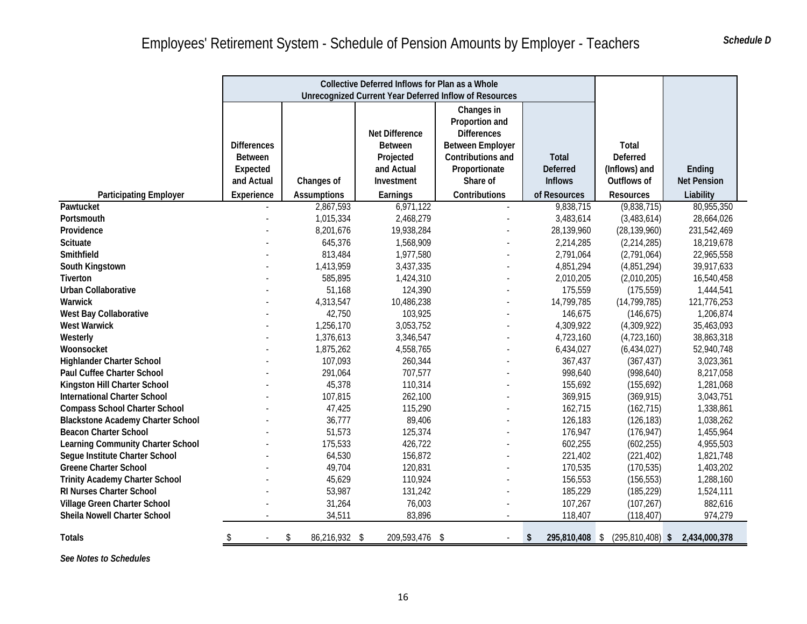|                                          |                                                  | Collective Deferred Inflows for Plan as a Whole |                |                                                        |                 |                                               |                    |
|------------------------------------------|--------------------------------------------------|-------------------------------------------------|----------------|--------------------------------------------------------|-----------------|-----------------------------------------------|--------------------|
|                                          |                                                  |                                                 |                | Unrecognized Current Year Deferred Inflow of Resources |                 |                                               |                    |
|                                          |                                                  |                                                 | Net Difference | Changes in<br>Proportion and<br><b>Differences</b>     |                 |                                               |                    |
|                                          | <b>Differences</b>                               |                                                 | <b>Between</b> | <b>Between Employer</b>                                |                 | Total                                         |                    |
|                                          | <b>Between</b>                                   |                                                 | Projected      | Contributions and                                      | <b>Total</b>    | <b>Deferred</b>                               |                    |
|                                          | Expected                                         |                                                 | and Actual     | Proportionate                                          | <b>Deferred</b> | (Inflows) and                                 | Ending             |
|                                          | and Actual                                       | Changes of                                      | Investment     | Share of                                               | <b>Inflows</b>  | Outflows of                                   | <b>Net Pension</b> |
| <b>Participating Employer</b>            | Experience                                       | <b>Assumptions</b>                              | Earnings       | Contributions                                          | of Resources    | <b>Resources</b>                              | Liability          |
| Pawtucket                                |                                                  | 2,867,593                                       | 6,971,122      |                                                        | 9,838,715       | (9,838,715)                                   | 80,955,350         |
| Portsmouth                               |                                                  | 1,015,334                                       | 2,468,279      |                                                        | 3,483,614       | (3,483,614)                                   | 28,664,026         |
| Providence                               |                                                  | 8,201,676                                       | 19,938,284     |                                                        | 28,139,960      | (28, 139, 960)                                | 231,542,469        |
| <b>Scituate</b>                          |                                                  | 645,376                                         | 1,568,909      |                                                        | 2,214,285       | (2,214,285)                                   | 18,219,678         |
| Smithfield                               |                                                  | 813,484                                         | 1,977,580      |                                                        | 2,791,064       | (2,791,064)                                   | 22,965,558         |
| South Kingstown                          |                                                  | 1,413,959                                       | 3,437,335      |                                                        | 4,851,294       | (4,851,294)                                   | 39,917,633         |
| Tiverton                                 |                                                  | 585,895                                         | 1,424,310      |                                                        | 2,010,205       | (2,010,205)                                   | 16,540,458         |
| <b>Urban Collaborative</b>               |                                                  | 51,168                                          | 124,390        |                                                        | 175,559         | (175, 559)                                    | 1,444,541          |
| Warwick                                  |                                                  | 4,313,547                                       | 10,486,238     |                                                        | 14,799,785      | (14, 799, 785)                                | 121,776,253        |
| West Bay Collaborative                   |                                                  | 42,750                                          | 103,925        |                                                        | 146,675         | (146, 675)                                    | 1,206,874          |
| <b>West Warwick</b>                      |                                                  | 1,256,170                                       | 3,053,752      |                                                        | 4,309,922       | (4,309,922)                                   | 35,463,093         |
| Westerly                                 |                                                  | 1,376,613                                       | 3,346,547      |                                                        | 4,723,160       | (4,723,160)                                   | 38,863,318         |
| Woonsocket                               |                                                  | 1,875,262                                       | 4,558,765      |                                                        | 6,434,027       | (6,434,027)                                   | 52,940,748         |
| <b>Highlander Charter School</b>         |                                                  | 107,093                                         | 260,344        |                                                        | 367,437         | (367, 437)                                    | 3,023,361          |
| Paul Cuffee Charter School               |                                                  | 291,064                                         | 707,577        |                                                        | 998,640         | (998, 640)                                    | 8,217,058          |
| Kingston Hill Charter School             |                                                  | 45,378                                          | 110,314        |                                                        | 155,692         | (155, 692)                                    | 1,281,068          |
| <b>International Charter School</b>      |                                                  | 107,815                                         | 262,100        |                                                        | 369,915         | (369, 915)                                    | 3,043,751          |
| <b>Compass School Charter School</b>     |                                                  | 47,425                                          | 115,290        |                                                        | 162,715         | (162, 715)                                    | 1,338,861          |
| <b>Blackstone Academy Charter School</b> |                                                  | 36,777                                          | 89,406         |                                                        | 126,183         | (126, 183)                                    | 1,038,262          |
| <b>Beacon Charter School</b>             |                                                  | 51,573                                          | 125,374        |                                                        | 176,947         | (176, 947)                                    | 1,455,964          |
| Learning Community Charter School        |                                                  | 175,533                                         | 426,722        |                                                        | 602,255         | (602, 255)                                    | 4,955,503          |
| Segue Institute Charter School           |                                                  | 64,530                                          | 156,872        |                                                        | 221,402         | (221, 402)                                    | 1,821,748          |
| Greene Charter School                    |                                                  | 49,704                                          | 120,831        |                                                        | 170,535         | (170, 535)                                    | 1,403,202          |
| <b>Trinity Academy Charter School</b>    |                                                  | 45,629                                          | 110,924        |                                                        | 156,553         | (156, 553)                                    | 1,288,160          |
| <b>RI Nurses Charter School</b>          |                                                  | 53,987                                          | 131,242        |                                                        | 185,229         | (185, 229)                                    | 1,524,111          |
| Village Green Charter School             |                                                  | 31,264                                          | 76,003         |                                                        | 107,267         | (107, 267)                                    | 882,616            |
| Sheila Nowell Charter School             |                                                  | 34,511                                          | 83,896         |                                                        | 118,407         | (118, 407)                                    | 974,279            |
| <b>Totals</b>                            | $\frac{\sqrt{2}}{2}$<br>$\overline{\phantom{a}}$ | 86,216,932 \$<br>\$                             | 209,593,476 \$ |                                                        | \$              | 295,810,408 \$ (295,810,408) \$ 2,434,000,378 |                    |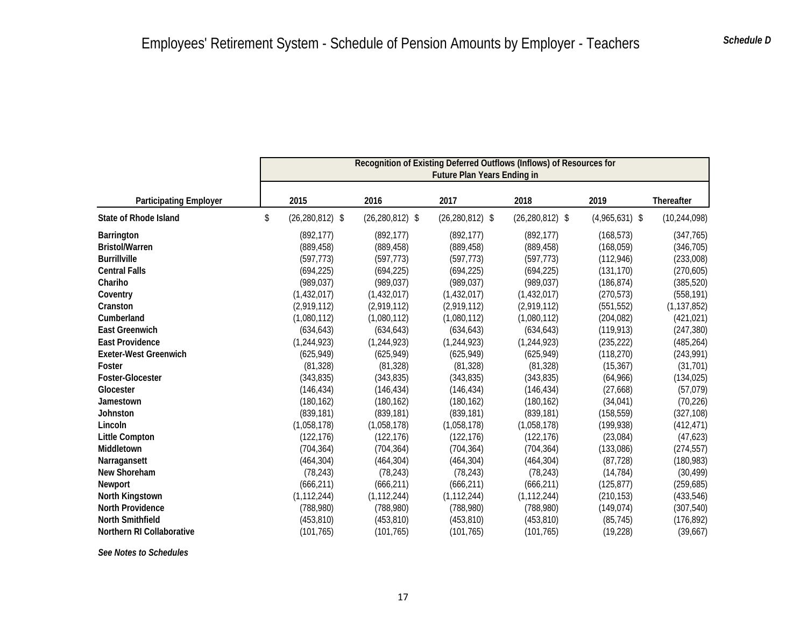|                               | Recognition of Existing Deferred Outflows (Inflows) of Resources for<br><b>Future Plan Years Ending in</b> |                     |                     |                     |                  |                |  |  |  |  |
|-------------------------------|------------------------------------------------------------------------------------------------------------|---------------------|---------------------|---------------------|------------------|----------------|--|--|--|--|
| <b>Participating Employer</b> | 2015                                                                                                       | 2016                | 2017                | 2018                | 2019             | Thereafter     |  |  |  |  |
| <b>State of Rhode Island</b>  | \$<br>$(26, 280, 812)$ \$                                                                                  | $(26, 280, 812)$ \$ | $(26, 280, 812)$ \$ | $(26, 280, 812)$ \$ | $(4,965,631)$ \$ | (10, 244, 098) |  |  |  |  |
| <b>Barrington</b>             | (892, 177)                                                                                                 | (892, 177)          | (892, 177)          | (892, 177)          | (168, 573)       | (347, 765)     |  |  |  |  |
| <b>Bristol/Warren</b>         | (889, 458)                                                                                                 | (889, 458)          | (889, 458)          | (889, 458)          | (168, 059)       | (346, 705)     |  |  |  |  |
| <b>Burrillville</b>           | (597, 773)                                                                                                 | (597, 773)          | (597, 773)          | (597, 773)          | (112, 946)       | (233,008)      |  |  |  |  |
| <b>Central Falls</b>          | (694, 225)                                                                                                 | (694, 225)          | (694, 225)          | (694, 225)          | (131, 170)       | (270, 605)     |  |  |  |  |
| Chariho                       | (989, 037)                                                                                                 | (989, 037)          | (989, 037)          | (989, 037)          | (186, 874)       | (385, 520)     |  |  |  |  |
| Coventry                      | (1,432,017)                                                                                                | (1,432,017)         | (1,432,017)         | (1,432,017)         | (270, 573)       | (558, 191)     |  |  |  |  |
| Cranston                      | (2,919,112)                                                                                                | (2,919,112)         | (2,919,112)         | (2,919,112)         | (551, 552)       | (1, 137, 852)  |  |  |  |  |
| Cumberland                    | (1,080,112)                                                                                                | (1,080,112)         | (1,080,112)         | (1,080,112)         | (204, 082)       | (421, 021)     |  |  |  |  |
| <b>East Greenwich</b>         | (634, 643)                                                                                                 | (634, 643)          | (634, 643)          | (634, 643)          | (119, 913)       | (247, 380)     |  |  |  |  |
| <b>East Providence</b>        | (1, 244, 923)                                                                                              | (1, 244, 923)       | (1,244,923)         | (1, 244, 923)       | (235, 222)       | (485, 264)     |  |  |  |  |
| <b>Exeter-West Greenwich</b>  | (625, 949)                                                                                                 | (625, 949)          | (625, 949)          | (625, 949)          | (118, 270)       | (243,991)      |  |  |  |  |
| Foster                        | (81, 328)                                                                                                  | (81, 328)           | (81, 328)           | (81, 328)           | (15, 367)        | (31, 701)      |  |  |  |  |
| Foster-Glocester              | (343, 835)                                                                                                 | (343, 835)          | (343, 835)          | (343, 835)          | (64,966)         | (134, 025)     |  |  |  |  |
| Glocester                     | (146, 434)                                                                                                 | (146, 434)          | (146, 434)          | (146, 434)          | (27,668)         | (57, 079)      |  |  |  |  |
| Jamestown                     | (180, 162)                                                                                                 | (180, 162)          | (180, 162)          | (180, 162)          | (34, 041)        | (70, 226)      |  |  |  |  |
| <b>Johnston</b>               | (839, 181)                                                                                                 | (839, 181)          | (839, 181)          | (839, 181)          | (158, 559)       | (327, 108)     |  |  |  |  |
| Lincoln                       | (1,058,178)                                                                                                | (1,058,178)         | (1,058,178)         | (1,058,178)         | (199, 938)       | (412, 471)     |  |  |  |  |
| <b>Little Compton</b>         | (122, 176)                                                                                                 | (122, 176)          | (122, 176)          | (122, 176)          | (23,084)         | (47, 623)      |  |  |  |  |
| Middletown                    | (704, 364)                                                                                                 | (704, 364)          | (704, 364)          | (704, 364)          | (133,086)        | (274, 557)     |  |  |  |  |
| Narragansett                  | (464, 304)                                                                                                 | (464, 304)          | (464, 304)          | (464, 304)          | (87, 728)        | (180, 983)     |  |  |  |  |
| New Shoreham                  | (78, 243)                                                                                                  | (78, 243)           | (78, 243)           | (78, 243)           | (14, 784)        | (30, 499)      |  |  |  |  |
| Newport                       | (666, 211)                                                                                                 | (666, 211)          | (666, 211)          | (666, 211)          | (125, 877)       | (259, 685)     |  |  |  |  |
| North Kingstown               | (1, 112, 244)                                                                                              | (1, 112, 244)       | (1, 112, 244)       | (1, 112, 244)       | (210, 153)       | (433, 546)     |  |  |  |  |
| <b>North Providence</b>       | (788, 980)                                                                                                 | (788,980)           | (788,980)           | (788, 980)          | (149, 074)       | (307, 540)     |  |  |  |  |
| <b>North Smithfield</b>       | (453, 810)                                                                                                 | (453, 810)          | (453, 810)          | (453, 810)          | (85, 745)        | (176, 892)     |  |  |  |  |
| Northern RI Collaborative     | (101, 765)                                                                                                 | (101, 765)          | (101, 765)          | (101, 765)          | (19, 228)        | (39,667)       |  |  |  |  |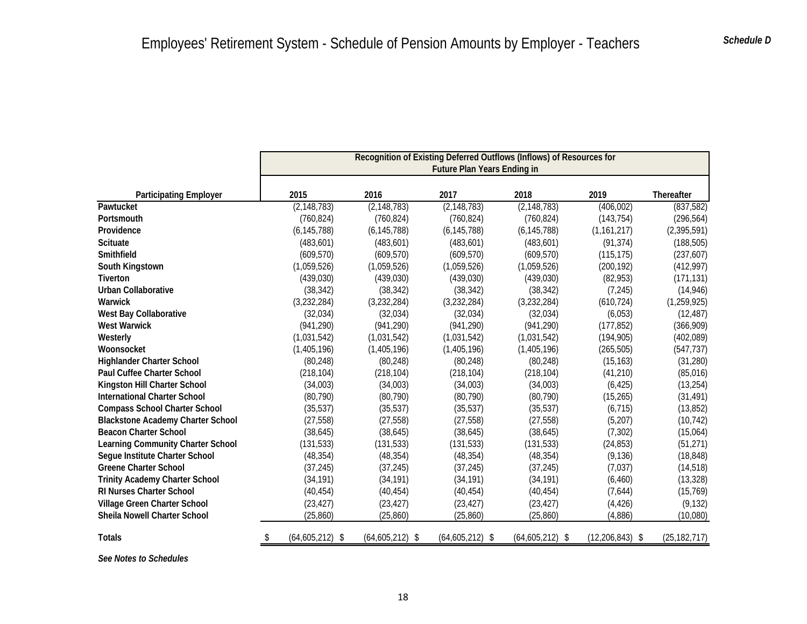|                                          | Recognition of Existing Deferred Outflows (Inflows) of Resources for<br>Future Plan Years Ending in |                   |                   |                   |                   |                   |  |  |
|------------------------------------------|-----------------------------------------------------------------------------------------------------|-------------------|-------------------|-------------------|-------------------|-------------------|--|--|
| <b>Participating Employer</b>            | 2015                                                                                                | 2016              | 2017              | 2018              | 2019              | <b>Thereafter</b> |  |  |
| Pawtucket                                | (2, 148, 783)                                                                                       | (2, 148, 783)     | (2, 148, 783)     | (2, 148, 783)     | (406, 002)        | (837, 582)        |  |  |
| Portsmouth                               | (760, 824)                                                                                          | (760, 824)        | (760, 824)        | (760, 824)        | (143, 754)        | (296, 564)        |  |  |
| Providence                               | (6, 145, 788)                                                                                       | (6, 145, 788)     | (6, 145, 788)     | (6, 145, 788)     | (1, 161, 217)     | (2, 395, 591)     |  |  |
| <b>Scituate</b>                          | (483, 601)                                                                                          | (483, 601)        | (483, 601)        | (483, 601)        | (91, 374)         | (188, 505)        |  |  |
| Smithfield                               | (609, 570)                                                                                          | (609, 570)        | (609, 570)        | (609, 570)        | (115, 175)        | (237, 607)        |  |  |
| South Kingstown                          | (1,059,526)                                                                                         | (1,059,526)       | (1,059,526)       | (1,059,526)       | (200, 192)        | (412,997)         |  |  |
| Tiverton                                 | (439,030)                                                                                           | (439,030)         | (439,030)         | (439, 030)        | (82, 953)         | (171, 131)        |  |  |
| <b>Urban Collaborative</b>               | (38, 342)                                                                                           | (38, 342)         | (38, 342)         | (38, 342)         | (7, 245)          | (14, 946)         |  |  |
| Warwick                                  | (3,232,284)                                                                                         | (3,232,284)       | (3,232,284)       | (3,232,284)       | (610, 724)        | (1, 259, 925)     |  |  |
| West Bay Collaborative                   | (32,034)                                                                                            | (32,034)          | (32,034)          | (32,034)          | (6,053)           | (12, 487)         |  |  |
| <b>West Warwick</b>                      | (941, 290)                                                                                          | (941, 290)        | (941, 290)        | (941, 290)        | (177, 852)        | (366, 909)        |  |  |
| Westerly                                 | (1,031,542)                                                                                         | (1,031,542)       | (1,031,542)       | (1,031,542)       | (194, 905)        | (402,089)         |  |  |
| Woonsocket                               | (1,405,196)                                                                                         | (1,405,196)       | (1,405,196)       | (1,405,196)       | (265, 505)        | (547, 737)        |  |  |
| <b>Highlander Charter School</b>         | (80, 248)                                                                                           | (80, 248)         | (80, 248)         | (80, 248)         | (15, 163)         | (31, 280)         |  |  |
| Paul Cuffee Charter School               | (218, 104)                                                                                          | (218, 104)        | (218, 104)        | (218, 104)        | (41, 210)         | (85,016)          |  |  |
| Kingston Hill Charter School             | (34,003)                                                                                            | (34,003)          | (34,003)          | (34,003)          | (6, 425)          | (13, 254)         |  |  |
| <b>International Charter School</b>      | (80, 790)                                                                                           | (80, 790)         | (80, 790)         | (80, 790)         | (15, 265)         | (31, 491)         |  |  |
| <b>Compass School Charter School</b>     | (35, 537)                                                                                           | (35, 537)         | (35, 537)         | (35, 537)         | (6, 715)          | (13, 852)         |  |  |
| <b>Blackstone Academy Charter School</b> | (27, 558)                                                                                           | (27, 558)         | (27, 558)         | (27, 558)         | (5,207)           | (10, 742)         |  |  |
| <b>Beacon Charter School</b>             | (38, 645)                                                                                           | (38, 645)         | (38, 645)         | (38, 645)         | (7, 302)          | (15,064)          |  |  |
| Learning Community Charter School        | (131, 533)                                                                                          | (131, 533)        | (131, 533)        | (131, 533)        | (24, 853)         | (51, 271)         |  |  |
| Segue Institute Charter School           | (48, 354)                                                                                           | (48, 354)         | (48, 354)         | (48, 354)         | (9, 136)          | (18, 848)         |  |  |
| <b>Greene Charter School</b>             | (37, 245)                                                                                           | (37, 245)         | (37, 245)         | (37, 245)         | (7,037)           | (14, 518)         |  |  |
| <b>Trinity Academy Charter School</b>    | (34, 191)                                                                                           | (34, 191)         | (34, 191)         | (34, 191)         | (6, 460)          | (13, 328)         |  |  |
| <b>RI Nurses Charter School</b>          | (40, 454)                                                                                           | (40, 454)         | (40, 454)         | (40, 454)         | (7,644)           | (15, 769)         |  |  |
| Village Green Charter School             | (23, 427)                                                                                           | (23, 427)         | (23, 427)         | (23, 427)         | (4, 426)          | (9, 132)          |  |  |
| Sheila Nowell Charter School             | (25, 860)                                                                                           | (25, 860)         | (25, 860)         | (25, 860)         | (4,886)           | (10,080)          |  |  |
| <b>Totals</b>                            | $(64,605,212)$ \$<br>\$                                                                             | $(64,605,212)$ \$ | $(64,605,212)$ \$ | $(64,605,212)$ \$ | $(12,206,843)$ \$ | (25, 182, 717)    |  |  |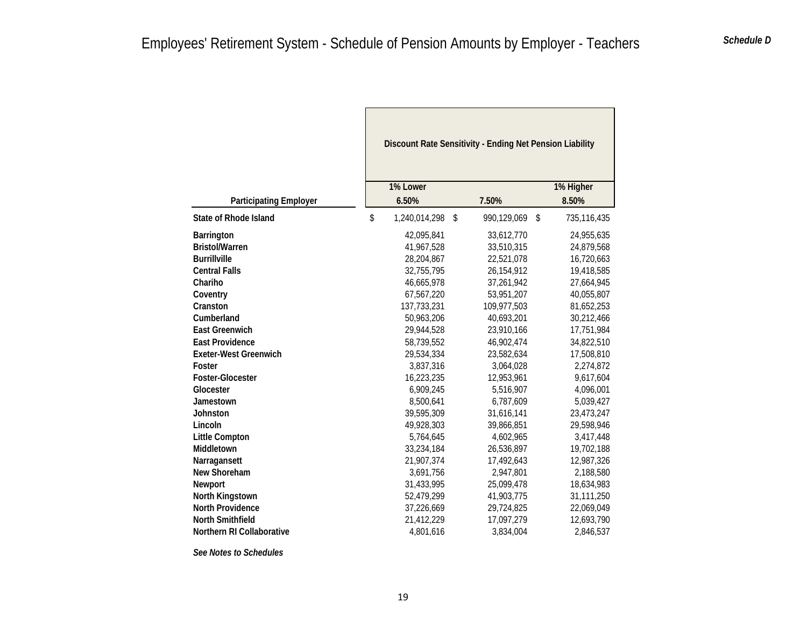Г

|                               | Discount Rate Sensitivity - Ending Net Pension Liability |                   |                    |  |  |  |
|-------------------------------|----------------------------------------------------------|-------------------|--------------------|--|--|--|
| <b>Participating Employer</b> | 1% Lower<br>6.50%                                        | 7.50%             | 1% Higher<br>8.50% |  |  |  |
| <b>State of Rhode Island</b>  | \$<br>1,240,014,298                                      | 990,129,069<br>\$ | \$<br>735,116,435  |  |  |  |
| Barrington                    | 42,095,841                                               | 33,612,770        | 24,955,635         |  |  |  |
| <b>Bristol/Warren</b>         | 41,967,528                                               | 33,510,315        | 24,879,568         |  |  |  |
| <b>Burrillville</b>           | 28,204,867                                               | 22,521,078        | 16,720,663         |  |  |  |
| <b>Central Falls</b>          | 32,755,795                                               | 26,154,912        | 19,418,585         |  |  |  |
| Chariho                       | 46,665,978                                               | 37,261,942        | 27,664,945         |  |  |  |
| Coventry                      | 67,567,220                                               | 53,951,207        | 40,055,807         |  |  |  |
| Cranston                      | 137,733,231                                              | 109,977,503       | 81,652,253         |  |  |  |
| Cumberland                    | 50,963,206                                               | 40,693,201        | 30,212,466         |  |  |  |
| <b>East Greenwich</b>         | 29,944,528                                               | 23,910,166        | 17,751,984         |  |  |  |
| <b>East Providence</b>        | 58,739,552                                               | 46,902,474        | 34,822,510         |  |  |  |
| <b>Exeter-West Greenwich</b>  | 29,534,334                                               | 23,582,634        | 17,508,810         |  |  |  |
| Foster                        | 3,837,316                                                | 3,064,028         | 2,274,872          |  |  |  |
| <b>Foster-Glocester</b>       | 16,223,235                                               | 12,953,961        | 9,617,604          |  |  |  |
| Glocester                     | 6,909,245                                                | 5,516,907         | 4,096,001          |  |  |  |
| Jamestown                     | 8,500,641                                                | 6,787,609         | 5,039,427          |  |  |  |
| Johnston                      | 39,595,309                                               | 31,616,141        | 23,473,247         |  |  |  |
| Lincoln                       | 49,928,303                                               | 39,866,851        | 29,598,946         |  |  |  |
| <b>Little Compton</b>         | 5,764,645                                                | 4,602,965         | 3,417,448          |  |  |  |
| <b>Middletown</b>             | 33,234,184                                               | 26,536,897        | 19,702,188         |  |  |  |
| Narragansett                  | 21,907,374                                               | 17,492,643        | 12,987,326         |  |  |  |
| New Shoreham                  | 3,691,756                                                | 2,947,801         | 2,188,580          |  |  |  |
| <b>Newport</b>                | 31,433,995                                               | 25,099,478        | 18,634,983         |  |  |  |
| North Kingstown               | 52,479,299                                               | 41,903,775        | 31,111,250         |  |  |  |
| <b>North Providence</b>       | 37,226,669                                               | 29,724,825        | 22,069,049         |  |  |  |
| <b>North Smithfield</b>       | 21,412,229                                               | 17,097,279        | 12,693,790         |  |  |  |
| Northern RI Collaborative     | 4,801,616                                                | 3,834,004         | 2,846,537          |  |  |  |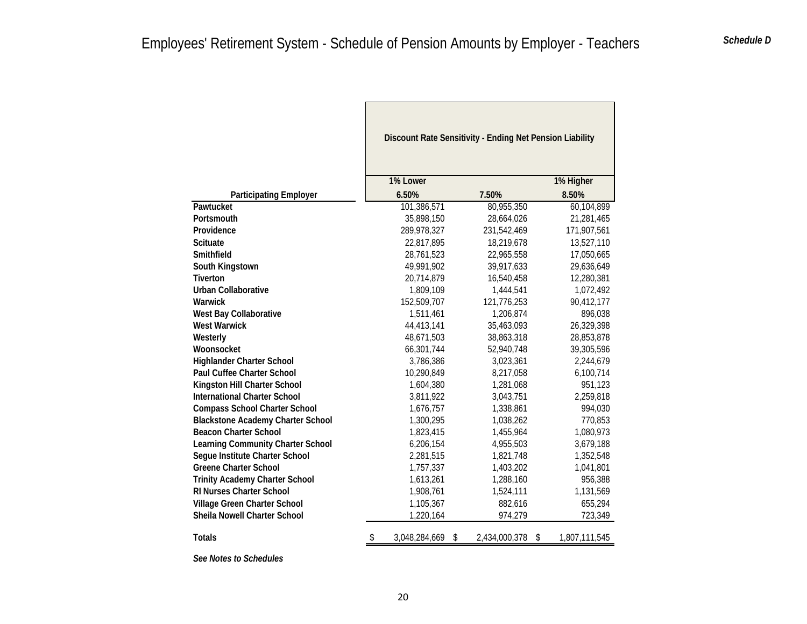|                                          | Discount Rate Sensitivity - Ending Net Pension Liability |                     |                     |
|------------------------------------------|----------------------------------------------------------|---------------------|---------------------|
|                                          | 1% Lower                                                 |                     | 1% Higher           |
| <b>Participating Employer</b>            | 6.50%                                                    | 7.50%               | 8.50%               |
| Pawtucket                                | 101,386,571                                              | 80,955,350          | 60,104,899          |
| Portsmouth                               | 35,898,150                                               | 28,664,026          | 21,281,465          |
| Providence                               | 289,978,327                                              | 231,542,469         | 171,907,561         |
| <b>Scituate</b>                          | 22,817,895                                               | 18,219,678          | 13,527,110          |
| Smithfield                               | 28,761,523                                               | 22,965,558          | 17,050,665          |
| South Kingstown                          | 49,991,902                                               | 39,917,633          | 29,636,649          |
| <b>Tiverton</b>                          | 20,714,879                                               | 16,540,458          | 12,280,381          |
| <b>Urban Collaborative</b>               | 1,809,109                                                | 1,444,541           | 1,072,492           |
| Warwick                                  | 152,509,707                                              | 121,776,253         | 90,412,177          |
| West Bay Collaborative                   | 1,511,461                                                | 1,206,874           | 896,038             |
| <b>West Warwick</b>                      | 44,413,141                                               | 35,463,093          | 26,329,398          |
| Westerly                                 | 48,671,503                                               | 38,863,318          | 28,853,878          |
| Woonsocket                               | 66,301,744                                               | 52,940,748          | 39,305,596          |
| <b>Highlander Charter School</b>         | 3,786,386                                                | 3,023,361           | 2,244,679           |
| Paul Cuffee Charter School               | 10,290,849                                               | 8,217,058           | 6,100,714           |
| Kingston Hill Charter School             | 1,604,380                                                | 1,281,068           | 951,123             |
| <b>International Charter School</b>      | 3,811,922                                                | 3,043,751           | 2,259,818           |
| <b>Compass School Charter School</b>     | 1,676,757                                                | 1,338,861           | 994,030             |
| <b>Blackstone Academy Charter School</b> | 1,300,295                                                | 1,038,262           | 770,853             |
| <b>Beacon Charter School</b>             | 1,823,415                                                | 1,455,964           | 1,080,973           |
| Learning Community Charter School        | 6,206,154                                                | 4,955,503           | 3,679,188           |
| Segue Institute Charter School           | 2,281,515                                                | 1,821,748           | 1,352,548           |
| <b>Greene Charter School</b>             | 1,757,337                                                | 1,403,202           | 1,041,801           |
| <b>Trinity Academy Charter School</b>    | 1,613,261                                                | 1,288,160           | 956,388             |
| RI Nurses Charter School                 | 1,908,761                                                | 1,524,111           | 1,131,569           |
| Village Green Charter School             | 1,105,367                                                | 882,616             | 655,294             |
| Sheila Nowell Charter School             | 1,220,164                                                | 974,279             | 723,349             |
| <b>Totals</b>                            | \$<br>3,048,284,669                                      | \$<br>2,434,000,378 | \$<br>1,807,111,545 |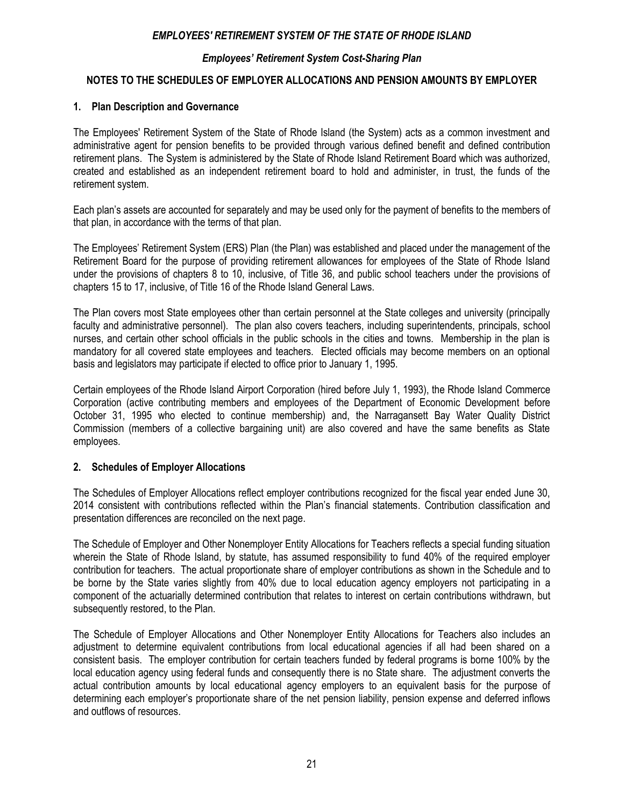## *Employees' Retirement System Cost-Sharing Plan*

## **NOTES TO THE SCHEDULES OF EMPLOYER ALLOCATIONS AND PENSION AMOUNTS BY EMPLOYER**

#### **1. Plan Description and Governance**

The Employees' Retirement System of the State of Rhode Island (the System) acts as a common investment and administrative agent for pension benefits to be provided through various defined benefit and defined contribution retirement plans. The System is administered by the State of Rhode Island Retirement Board which was authorized, created and established as an independent retirement board to hold and administer, in trust, the funds of the retirement system.

Each plan's assets are accounted for separately and may be used only for the payment of benefits to the members of that plan, in accordance with the terms of that plan.

The Employees' Retirement System (ERS) Plan (the Plan) was established and placed under the management of the Retirement Board for the purpose of providing retirement allowances for employees of the State of Rhode Island under the provisions of chapters 8 to 10, inclusive, of Title 36, and public school teachers under the provisions of chapters 15 to 17, inclusive, of Title 16 of the Rhode Island General Laws.

The Plan covers most State employees other than certain personnel at the State colleges and university (principally faculty and administrative personnel). The plan also covers teachers, including superintendents, principals, school nurses, and certain other school officials in the public schools in the cities and towns. Membership in the plan is mandatory for all covered state employees and teachers. Elected officials may become members on an optional basis and legislators may participate if elected to office prior to January 1, 1995.

Certain employees of the Rhode Island Airport Corporation (hired before July 1, 1993), the Rhode Island Commerce Corporation (active contributing members and employees of the Department of Economic Development before October 31, 1995 who elected to continue membership) and, the Narragansett Bay Water Quality District Commission (members of a collective bargaining unit) are also covered and have the same benefits as State employees.

#### **2. Schedules of Employer Allocations**

The Schedules of Employer Allocations reflect employer contributions recognized for the fiscal year ended June 30, 2014 consistent with contributions reflected within the Plan's financial statements. Contribution classification and presentation differences are reconciled on the next page.

The Schedule of Employer and Other Nonemployer Entity Allocations for Teachers reflects a special funding situation wherein the State of Rhode Island, by statute, has assumed responsibility to fund 40% of the required employer contribution for teachers. The actual proportionate share of employer contributions as shown in the Schedule and to be borne by the State varies slightly from 40% due to local education agency employers not participating in a component of the actuarially determined contribution that relates to interest on certain contributions withdrawn, but subsequently restored, to the Plan.

The Schedule of Employer Allocations and Other Nonemployer Entity Allocations for Teachers also includes an adjustment to determine equivalent contributions from local educational agencies if all had been shared on a consistent basis. The employer contribution for certain teachers funded by federal programs is borne 100% by the local education agency using federal funds and consequently there is no State share. The adjustment converts the actual contribution amounts by local educational agency employers to an equivalent basis for the purpose of determining each employer's proportionate share of the net pension liability, pension expense and deferred inflows and outflows of resources.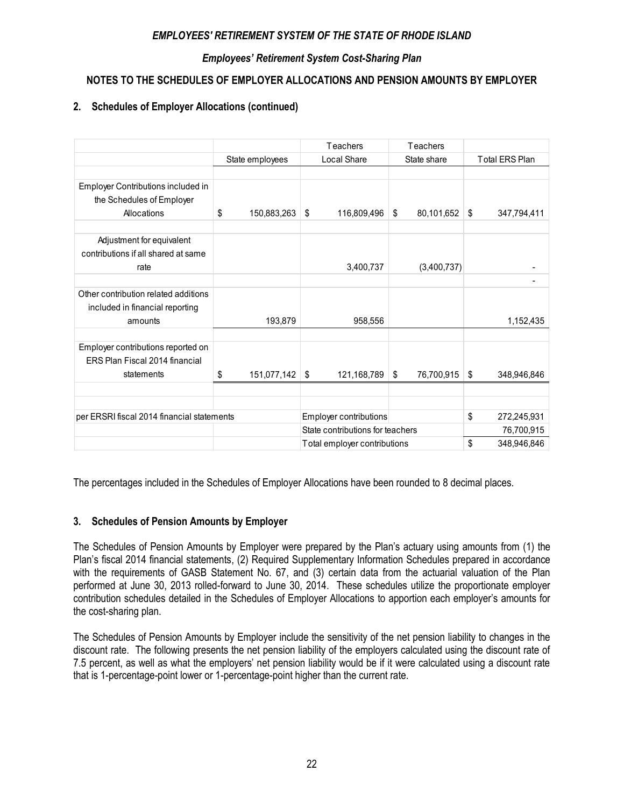## *Employees' Retirement System Cost-Sharing Plan*

## **NOTES TO THE SCHEDULES OF EMPLOYER ALLOCATIONS AND PENSION AMOUNTS BY EMPLOYER**

## **2. Schedules of Employer Allocations (continued)**

|                                                                      |                   | Teachers<br>Teachers             |                   |                          |  |
|----------------------------------------------------------------------|-------------------|----------------------------------|-------------------|--------------------------|--|
|                                                                      | State employees   | Local Share                      | State share       | <b>Total ERS Plan</b>    |  |
|                                                                      |                   |                                  |                   |                          |  |
| Employer Contributions included in                                   |                   |                                  |                   |                          |  |
| the Schedules of Employer                                            |                   |                                  |                   |                          |  |
| Allocations                                                          | \$<br>150,883,263 | 116,809,496<br>\$                | \$<br>80,101,652  | \$<br>347,794,411        |  |
|                                                                      |                   |                                  |                   |                          |  |
| Adjustment for equivalent                                            |                   |                                  |                   |                          |  |
| contributions if all shared at same                                  |                   |                                  |                   |                          |  |
| rate                                                                 |                   | 3,400,737                        | (3,400,737)       |                          |  |
|                                                                      |                   |                                  |                   | $\overline{\phantom{a}}$ |  |
| Other contribution related additions                                 |                   |                                  |                   |                          |  |
| included in financial reporting                                      |                   |                                  |                   |                          |  |
| amounts                                                              | 193,879           | 958,556                          |                   | 1,152,435                |  |
|                                                                      |                   |                                  |                   |                          |  |
| Employer contributions reported on<br>ERS Plan Fiscal 2014 financial |                   |                                  |                   |                          |  |
|                                                                      |                   |                                  |                   |                          |  |
| statements                                                           | \$<br>151,077,142 | 121,168,789<br>\$                | \$<br>76,700,915  | \$<br>348,946,846        |  |
|                                                                      |                   |                                  |                   |                          |  |
|                                                                      |                   |                                  |                   |                          |  |
| per ERSRI fiscal 2014 financial statements                           |                   | Employer contributions           |                   | \$<br>272,245,931        |  |
|                                                                      |                   | State contributions for teachers | 76,700,915        |                          |  |
|                                                                      |                   | Total employer contributions     | \$<br>348,946,846 |                          |  |

The percentages included in the Schedules of Employer Allocations have been rounded to 8 decimal places.

## **3. Schedules of Pension Amounts by Employer**

The Schedules of Pension Amounts by Employer were prepared by the Plan's actuary using amounts from (1) the Plan's fiscal 2014 financial statements, (2) Required Supplementary Information Schedules prepared in accordance with the requirements of GASB Statement No. 67, and (3) certain data from the actuarial valuation of the Plan performed at June 30, 2013 rolled-forward to June 30, 2014. These schedules utilize the proportionate employer contribution schedules detailed in the Schedules of Employer Allocations to apportion each employer's amounts for the cost-sharing plan.

The Schedules of Pension Amounts by Employer include the sensitivity of the net pension liability to changes in the discount rate. The following presents the net pension liability of the employers calculated using the discount rate of 7.5 percent, as well as what the employers' net pension liability would be if it were calculated using a discount rate that is 1-percentage-point lower or 1-percentage-point higher than the current rate.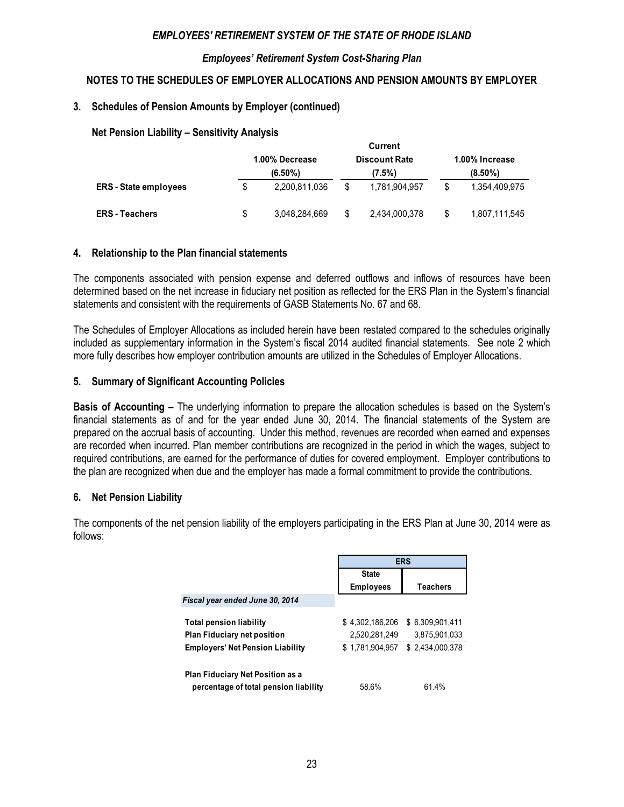#### *Employees' Retirement System Cost-Sharing Plan*

## **NOTES TO THE SCHEDULES OF EMPLOYER ALLOCATIONS AND PENSION AMOUNTS BY EMPLOYER**

#### **3. Schedules of Pension Amounts by Employer (continued)**

#### **Net Pension Liability – Sensitivity Analysis**

|                              | uurrent        |               |                      |               |                |               |  |  |  |
|------------------------------|----------------|---------------|----------------------|---------------|----------------|---------------|--|--|--|
|                              | 1.00% Decrease |               | <b>Discount Rate</b> |               | 1.00% Increase |               |  |  |  |
|                              |                | $(6.50\%)$    |                      | (7.5%)        |                | $(8.50\%)$    |  |  |  |
| <b>ERS</b> - State employees | S.             | 2.200.811.036 | \$                   | 1.781.904.957 | \$             | 1.354.409.975 |  |  |  |
| <b>ERS</b> - Teachers        | S              | 3,048,284,669 | S                    | 2,434,000,378 | \$             | 1,807,111,545 |  |  |  |

**Current**

#### **4. Relationship to the Plan financial statements**

The components associated with pension expense and deferred outflows and inflows of resources have been determined based on the net increase in fiduciary net position as reflected for the ERS Plan in the System's financial statements and consistent with the requirements of GASB Statements No. 67 and 68.

The Schedules of Employer Allocations as included herein have been restated compared to the schedules originally included as supplementary information in the System's fiscal 2014 audited financial statements. See note 2 which more fully describes how employer contribution amounts are utilized in the Schedules of Employer Allocations.

#### **5. Summary of Significant Accounting Policies**

**Basis of Accounting –** The underlying information to prepare the allocation schedules is based on the System's financial statements as of and for the year ended June 30, 2014. The financial statements of the System are prepared on the accrual basis of accounting. Under this method, revenues are recorded when earned and expenses are recorded when incurred. Plan member contributions are recognized in the period in which the wages, subject to required contributions, are earned for the performance of duties for covered employment. Employer contributions to the plan are recognized when due and the employer has made a formal commitment to provide the contributions.

#### **6. Net Pension Liability**

The components of the net pension liability of the employers participating in the ERS Plan at June 30, 2014 were as follows:

|                                                                                  | <b>ERS</b>       |                 |  |  |
|----------------------------------------------------------------------------------|------------------|-----------------|--|--|
|                                                                                  | <b>State</b>     |                 |  |  |
|                                                                                  | <b>Employees</b> | <b>Teachers</b> |  |  |
| Fiscal year ended June 30, 2014                                                  |                  |                 |  |  |
| <b>Total pension liability</b>                                                   | \$4.302.186.206  | \$6.309.901.411 |  |  |
| <b>Plan Fiduciary net position</b>                                               | 2,520,281,249    | 3,875,901,033   |  |  |
| <b>Employers' Net Pension Liability</b>                                          | \$1.781.904.957  | \$2,434,000,378 |  |  |
| <b>Plan Fiduciary Net Position as a</b><br>percentage of total pension liability | 58.6%            | 61.4%           |  |  |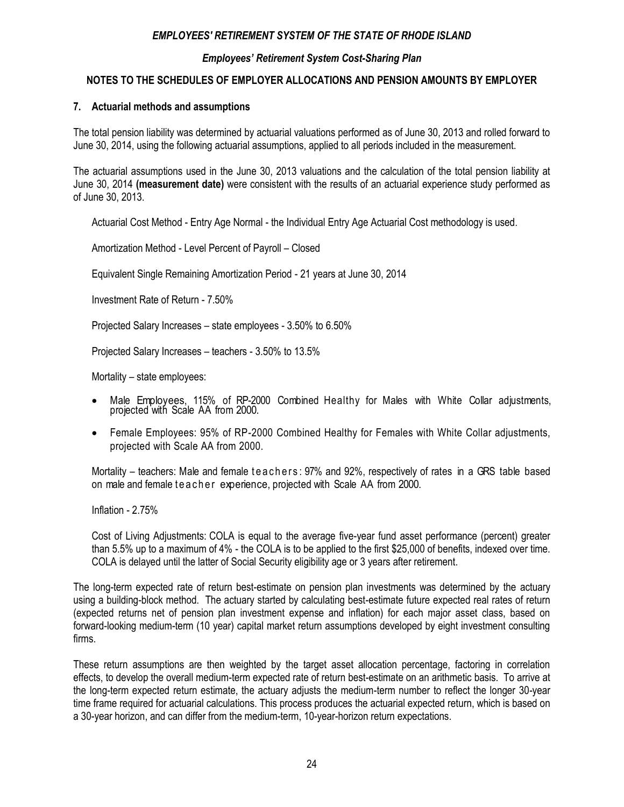## *Employees' Retirement System Cost-Sharing Plan*

## **NOTES TO THE SCHEDULES OF EMPLOYER ALLOCATIONS AND PENSION AMOUNTS BY EMPLOYER**

#### **7. Actuarial methods and assumptions**

The total pension liability was determined by actuarial valuations performed as of June 30, 2013 and rolled forward to June 30, 2014, using the following actuarial assumptions, applied to all periods included in the measurement.

The actuarial assumptions used in the June 30, 2013 valuations and the calculation of the total pension liability at June 30, 2014 **(measurement date)** were consistent with the results of an actuarial experience study performed as of June 30, 2013.

Actuarial Cost Method - Entry Age Normal - the Individual Entry Age Actuarial Cost methodology is used.

Amortization Method - Level Percent of Payroll – Closed

Equivalent Single Remaining Amortization Period - 21 years at June 30, 2014

Investment Rate of Return - 7.50%

Projected Salary Increases – state employees - 3.50% to 6.50%

Projected Salary Increases – teachers - 3.50% to 13.5%

Mortality – state employees:

- Male Employees, 115% of RP-2000 Combined Healthy for Males with White Collar adjustments, projected with Scale AA from 2000.
- Female Employees: 95% of RP-2000 Combined Healthy for Females with White Collar adjustments, projected with Scale AA from 2000.

Mortality – teachers: Male and female teachers: 97% and 92%, respectively of rates in a GRS table based on male and female te a cher experience, projected with Scale AA from 2000.

Inflation - 2.75%

Cost of Living Adjustments: COLA is equal to the average five-year fund asset performance (percent) greater than 5.5% up to a maximum of 4% - the COLA is to be applied to the first \$25,000 of benefits, indexed over time. COLA is delayed until the latter of Social Security eligibility age or 3 years after retirement.

The long-term expected rate of return best-estimate on pension plan investments was determined by the actuary using a building-block method. The actuary started by calculating best-estimate future expected real rates of return (expected returns net of pension plan investment expense and inflation) for each major asset class, based on forward-looking medium-term (10 year) capital market return assumptions developed by eight investment consulting firms.

These return assumptions are then weighted by the target asset allocation percentage, factoring in correlation effects, to develop the overall medium-term expected rate of return best-estimate on an arithmetic basis. To arrive at the long-term expected return estimate, the actuary adjusts the medium-term number to reflect the longer 30-year time frame required for actuarial calculations. This process produces the actuarial expected return, which is based on a 30-year horizon, and can differ from the medium-term, 10-year-horizon return expectations.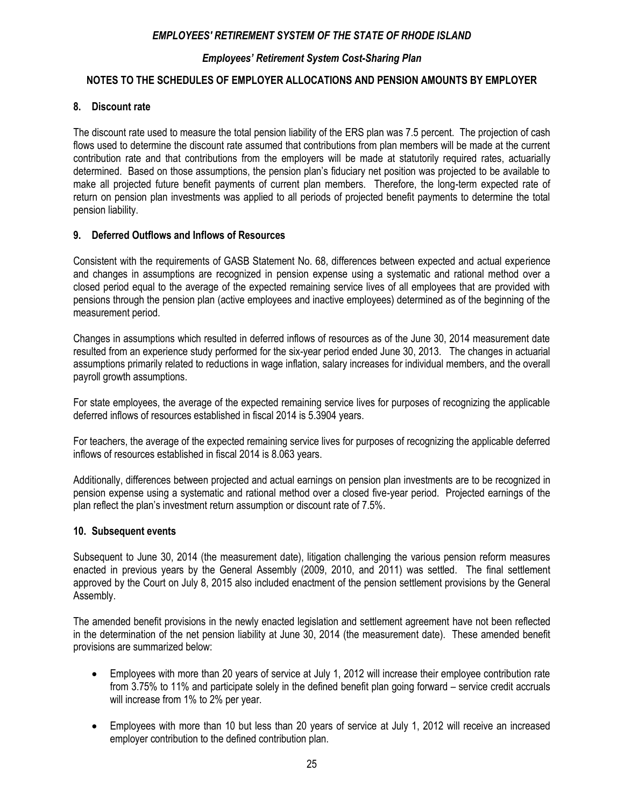## *Employees' Retirement System Cost-Sharing Plan*

## **NOTES TO THE SCHEDULES OF EMPLOYER ALLOCATIONS AND PENSION AMOUNTS BY EMPLOYER**

#### **8. Discount rate**

The discount rate used to measure the total pension liability of the ERS plan was 7.5 percent. The projection of cash flows used to determine the discount rate assumed that contributions from plan members will be made at the current contribution rate and that contributions from the employers will be made at statutorily required rates, actuarially determined. Based on those assumptions, the pension plan's fiduciary net position was projected to be available to make all projected future benefit payments of current plan members. Therefore, the long-term expected rate of return on pension plan investments was applied to all periods of projected benefit payments to determine the total pension liability.

## **9. Deferred Outflows and Inflows of Resources**

Consistent with the requirements of GASB Statement No. 68, differences between expected and actual experience and changes in assumptions are recognized in pension expense using a systematic and rational method over a closed period equal to the average of the expected remaining service lives of all employees that are provided with pensions through the pension plan (active employees and inactive employees) determined as of the beginning of the measurement period.

Changes in assumptions which resulted in deferred inflows of resources as of the June 30, 2014 measurement date resulted from an experience study performed for the six-year period ended June 30, 2013. The changes in actuarial assumptions primarily related to reductions in wage inflation, salary increases for individual members, and the overall payroll growth assumptions.

For state employees, the average of the expected remaining service lives for purposes of recognizing the applicable deferred inflows of resources established in fiscal 2014 is 5.3904 years.

For teachers, the average of the expected remaining service lives for purposes of recognizing the applicable deferred inflows of resources established in fiscal 2014 is 8.063 years.

Additionally, differences between projected and actual earnings on pension plan investments are to be recognized in pension expense using a systematic and rational method over a closed five-year period. Projected earnings of the plan reflect the plan's investment return assumption or discount rate of 7.5%.

#### **10. Subsequent events**

Subsequent to June 30, 2014 (the measurement date), litigation challenging the various pension reform measures enacted in previous years by the General Assembly (2009, 2010, and 2011) was settled. The final settlement approved by the Court on July 8, 2015 also included enactment of the pension settlement provisions by the General Assembly.

The amended benefit provisions in the newly enacted legislation and settlement agreement have not been reflected in the determination of the net pension liability at June 30, 2014 (the measurement date). These amended benefit provisions are summarized below:

- Employees with more than 20 years of service at July 1, 2012 will increase their employee contribution rate from 3.75% to 11% and participate solely in the defined benefit plan going forward – service credit accruals will increase from 1% to 2% per year.
- Employees with more than 10 but less than 20 years of service at July 1, 2012 will receive an increased employer contribution to the defined contribution plan.